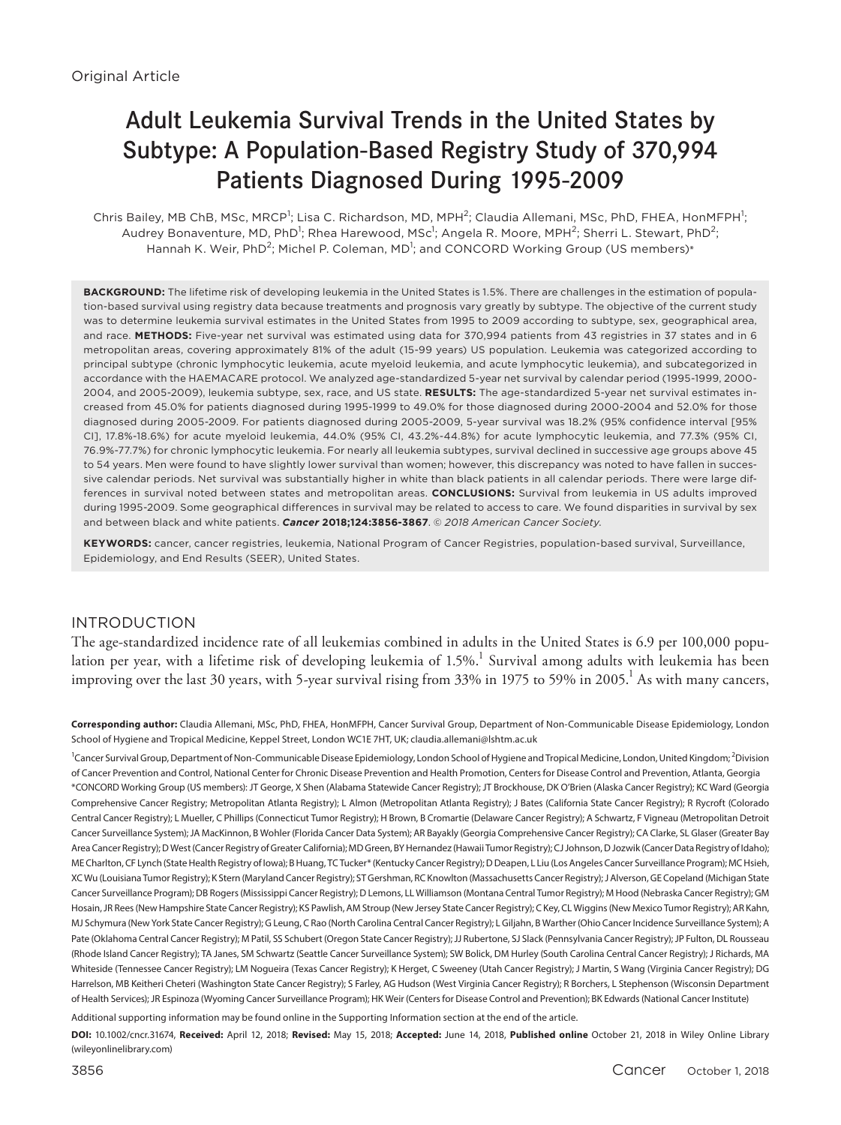# Adult Leukemia Survival Trends in the United States by Subtype: A Population-Based Registry Study of 370,994 Patients Diagnosed During 1995-2009

Chris Bailey, MB ChB, MSc, MRCP<sup>1</sup>; Lisa C. Richardson, MD, MPH<sup>2</sup>; Claudia Allemani, MSc, PhD, FHEA, HonMFPH<sup>1</sup>; Audrey Bonaventure, MD, PhD<sup>1</sup>; Rhea Harewood, MSc<sup>1</sup>; Angela R. Moore, MPH<sup>2</sup>; Sherri L. Stewart, PhD<sup>2</sup>; Hannah K. Weir, PhD<sup>2</sup>; Michel P. Coleman, MD<sup>1</sup>; and CONCORD Working Group (US members)\*

**BACKGROUND:** The lifetime risk of developing leukemia in the United States is 1.5%. There are challenges in the estimation of population-based survival using registry data because treatments and prognosis vary greatly by subtype. The objective of the current study was to determine leukemia survival estimates in the United States from 1995 to 2009 according to subtype, sex, geographical area, and race. **METHODS:** Five-year net survival was estimated using data for 370,994 patients from 43 registries in 37 states and in 6 metropolitan areas, covering approximately 81% of the adult (15-99 years) US population. Leukemia was categorized according to principal subtype (chronic lymphocytic leukemia, acute myeloid leukemia, and acute lymphocytic leukemia), and subcategorized in accordance with the HAEMACARE protocol. We analyzed age-standardized 5-year net survival by calendar period (1995-1999, 2000- 2004, and 2005-2009), leukemia subtype, sex, race, and US state. **RESULTS:** The age-standardized 5-year net survival estimates increased from 45.0% for patients diagnosed during 1995-1999 to 49.0% for those diagnosed during 2000-2004 and 52.0% for those diagnosed during 2005-2009. For patients diagnosed during 2005-2009, 5-year survival was 18.2% (95% confidence interval [95% CI], 17.8%-18.6%) for acute myeloid leukemia, 44.0% (95% CI, 43.2%-44.8%) for acute lymphocytic leukemia, and 77.3% (95% CI, 76.9%-77.7%) for chronic lymphocytic leukemia. For nearly all leukemia subtypes, survival declined in successive age groups above 45 to 54 years. Men were found to have slightly lower survival than women; however, this discrepancy was noted to have fallen in successive calendar periods. Net survival was substantially higher in white than black patients in all calendar periods. There were large differences in survival noted between states and metropolitan areas. **CONCLUSIONS:** Survival from leukemia in US adults improved during 1995-2009. Some geographical differences in survival may be related to access to care. We found disparities in survival by sex and between black and white patients. *Cancer* **2018;124:3856-3867**. © *2018 American Cancer Society*.

**KEYWORDS:** cancer, cancer registries, leukemia, National Program of Cancer Registries, population-based survival, Surveillance, Epidemiology, and End Results (SEER), United States.

### INTRODUCTION

The age-standardized incidence rate of all leukemias combined in adults in the United States is 6.9 per 100,000 population per year, with a lifetime risk of developing leukemia of 1.5%.<sup>1</sup> Survival among adults with leukemia has been improving over the last 30 years, with 5-year survival rising from 33% in 1975 to 59% in 2005. As with many cancers,

**Corresponding author:** Claudia Allemani, MSc, PhD, FHEA, HonMFPH, Cancer Survival Group, Department of Non-Communicable Disease Epidemiology, London School of Hygiene and Tropical Medicine, Keppel Street, London WC1E 7HT, UK; [claudia.allemani@lshtm.ac.uk](mailto:claudia.allemani@lshtm.ac.uk)

<sup>1</sup>Cancer Survival Group, Department of Non-Communicable Disease Epidemiology, London School of Hygiene and Tropical Medicine, London, United Kingdom; <sup>2</sup>Division of Cancer Prevention and Control, National Center for Chronic Disease Prevention and Health Promotion, Centers for Disease Control and Prevention, Atlanta, Georgia \*CONCORD Working Group (US members): JT George, X Shen (Alabama Statewide Cancer Registry); JT Brockhouse, DK O'Brien (Alaska Cancer Registry); KC Ward (Georgia Comprehensive Cancer Registry; Metropolitan Atlanta Registry); L Almon (Metropolitan Atlanta Registry); J Bates (California State Cancer Registry); R Rycroft (Colorado Central Cancer Registry); L Mueller, C Phillips (Connecticut Tumor Registry); H Brown, B Cromartie (Delaware Cancer Registry); A Schwartz, F Vigneau (Metropolitan Detroit Cancer Surveillance System); JA MacKinnon, B Wohler (Florida Cancer Data System); AR Bayakly (Georgia Comprehensive Cancer Registry); CA Clarke, SL Glaser (Greater Bay Area Cancer Registry); D West (Cancer Registry of Greater California); MD Green, BY Hernandez (Hawaii Tumor Registry); CJ Johnson, D Jozwik (Cancer Data Registry of Idaho); ME Charlton, CF Lynch (State Health Registry of Iowa); B Huang, TC Tucker\* (Kentucky Cancer Registry); D Deapen, L Liu (Los Angeles Cancer Surveillance Program); MC Hsieh, XC Wu (Louisiana Tumor Registry); K Stern (Maryland Cancer Registry); ST Gershman, RC Knowlton (Massachusetts Cancer Registry); J Alverson, GE Copeland (Michigan State Cancer Surveillance Program); DB Rogers (Mississippi Cancer Registry); D Lemons, LL Williamson (Montana Central Tumor Registry); M Hood (Nebraska Cancer Registry); GM Hosain, JR Rees (New Hampshire State Cancer Registry); KS Pawlish, AM Stroup (New Jersey State Cancer Registry); C Key, CL Wiggins (New Mexico Tumor Registry); AR Kahn, MJ Schymura (New York State Cancer Registry); G Leung, C Rao (North Carolina Central Cancer Registry); L Giljahn, B Warther (Ohio Cancer Incidence Surveillance System); A Pate (Oklahoma Central Cancer Registry); M Patil, SS Schubert (Oregon State Cancer Registry); JJ Rubertone, SJ Slack (Pennsylvania Cancer Registry); JP Fulton, DL Rousseau (Rhode Island Cancer Registry); TA Janes, SM Schwartz (Seattle Cancer Surveillance System); SW Bolick, DM Hurley (South Carolina Central Cancer Registry); J Richards, MA Whiteside (Tennessee Cancer Registry); LM Nogueira (Texas Cancer Registry); K Herget, C Sweeney (Utah Cancer Registry); J Martin, S Wang (Virginia Cancer Registry); DG Harrelson, MB Keitheri Cheteri (Washington State Cancer Registry); S Farley, AG Hudson (West Virginia Cancer Registry); R Borchers, L Stephenson (Wisconsin Department of Health Services); JR Espinoza (Wyoming Cancer Surveillance Program); HK Weir (Centers for Disease Control and Prevention); BK Edwards (National Cancer Institute)

Additional supporting information may be found online in the Supporting Information section at the end of the article.

**DOI:** 10.1002/cncr.31674, **Received:** April 12, 2018; **Revised:** May 15, 2018; **Accepted:** June 14, 2018, **Published online** October 21, 2018 in Wiley Online Library (wileyonlinelibrary.com)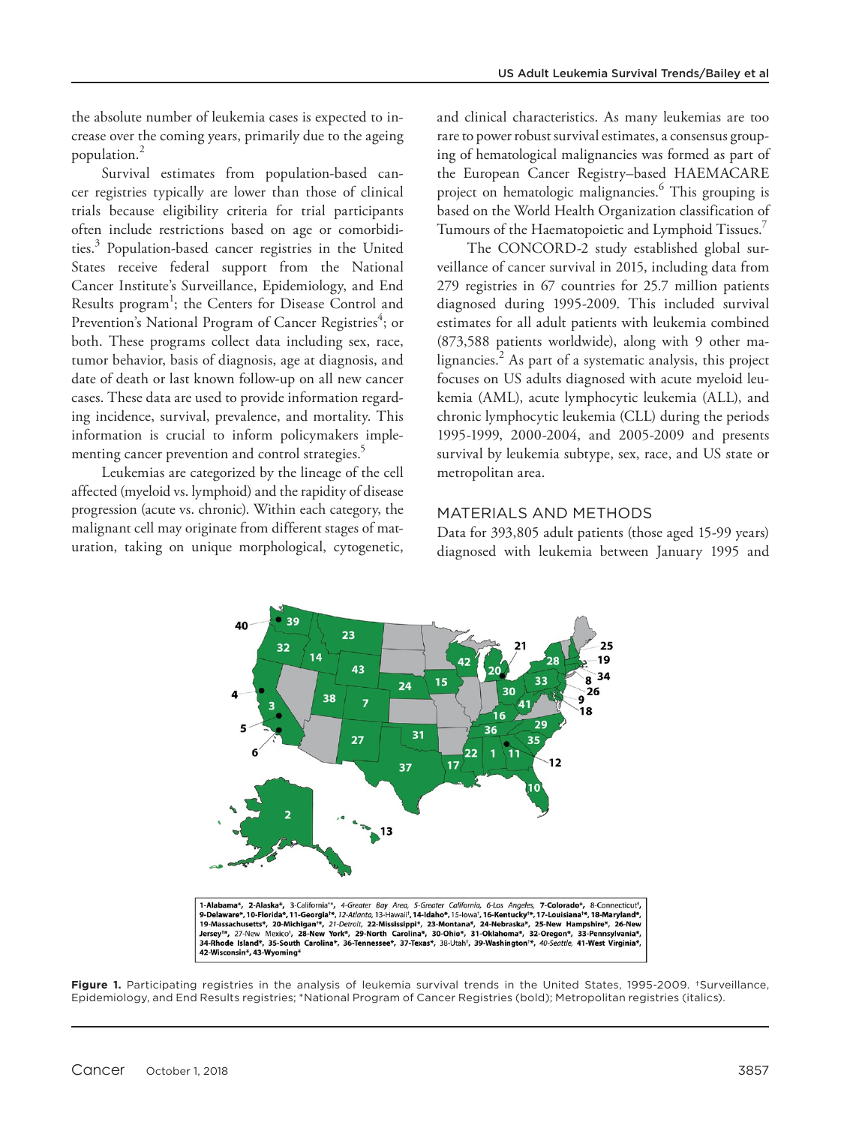the absolute number of leukemia cases is expected to increase over the coming years, primarily due to the ageing population.<sup>2</sup>

Survival estimates from population-based cancer registries typically are lower than those of clinical trials because eligibility criteria for trial participants often include restrictions based on age or comorbidities.3 Population-based cancer registries in the United States receive federal support from the National Cancer Institute's Surveillance, Epidemiology, and End Results program<sup>1</sup>; the Centers for Disease Control and Prevention's National Program of Cancer Registries<sup>4</sup>; or both. These programs collect data including sex, race, tumor behavior, basis of diagnosis, age at diagnosis, and date of death or last known follow-up on all new cancer cases. These data are used to provide information regarding incidence, survival, prevalence, and mortality. This information is crucial to inform policymakers implementing cancer prevention and control strategies.<sup>5</sup>

Leukemias are categorized by the lineage of the cell affected (myeloid vs. lymphoid) and the rapidity of disease progression (acute vs. chronic). Within each category, the malignant cell may originate from different stages of maturation, taking on unique morphological, cytogenetic,

and clinical characteristics. As many leukemias are too rare to power robust survival estimates, a consensus grouping of hematological malignancies was formed as part of the European Cancer Registry–based HAEMACARE project on hematologic malignancies.<sup>6</sup> This grouping is based on the World Health Organization classification of Tumours of the Haematopoietic and Lymphoid Tissues.7

The CONCORD-2 study established global surveillance of cancer survival in 2015, including data from 279 registries in 67 countries for 25.7 million patients diagnosed during 1995-2009. This included survival estimates for all adult patients with leukemia combined (873,588 patients worldwide), along with 9 other malignancies.<sup>2</sup> As part of a systematic analysis, this project focuses on US adults diagnosed with acute myeloid leukemia (AML), acute lymphocytic leukemia (ALL), and chronic lymphocytic leukemia (CLL) during the periods 1995-1999, 2000-2004, and 2005-2009 and presents survival by leukemia subtype, sex, race, and US state or metropolitan area.

## MATERIALS AND METHODS

Data for 393,805 adult patients (those aged 15-99 years) diagnosed with leukemia between January 1995 and



**Figure 1.** Participating registries in the analysis of leukemia survival trends in the United States, 1995-2009. †Surveillance, Epidemiology, and End Results registries; \*National Program of Cancer Registries (bold); Metropolitan registries (italics).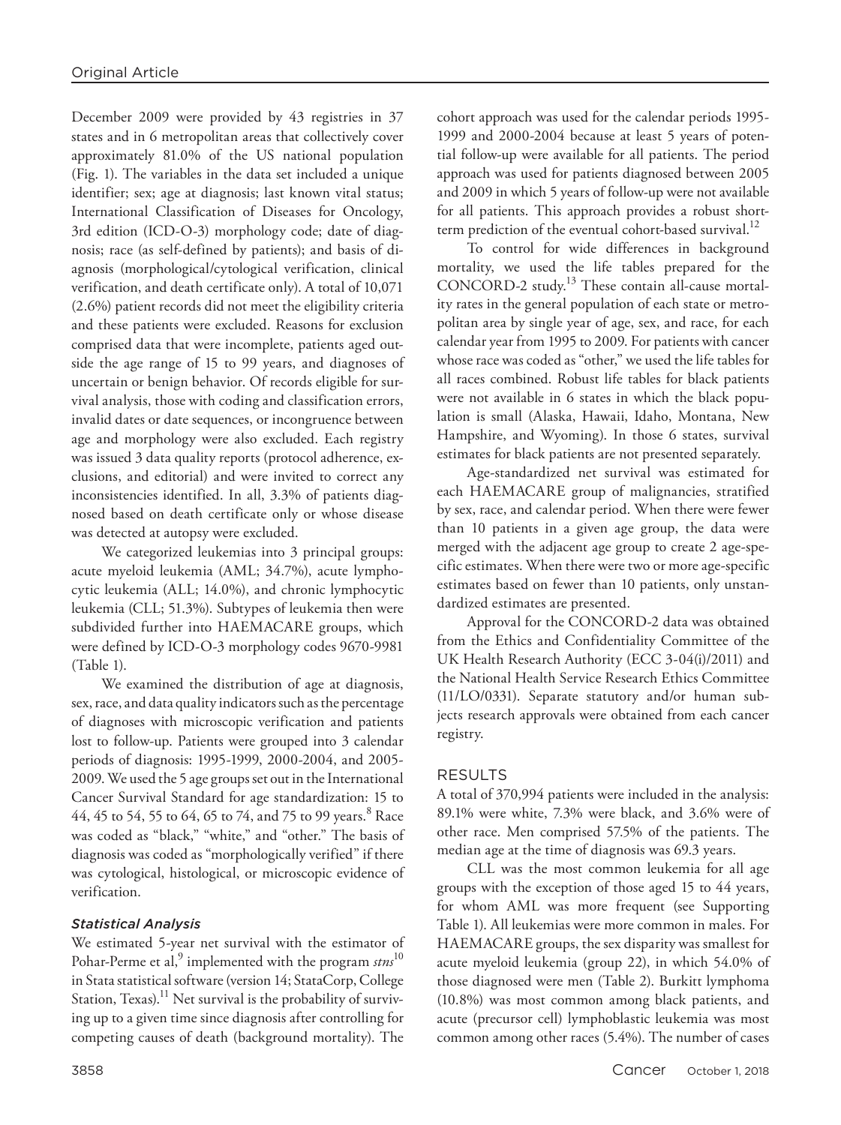December 2009 were provided by 43 registries in 37 states and in 6 metropolitan areas that collectively cover approximately 81.0% of the US national population (Fig. 1). The variables in the data set included a unique identifier; sex; age at diagnosis; last known vital status; International Classification of Diseases for Oncology, 3rd edition (ICD-O-3) morphology code; date of diagnosis; race (as self-defined by patients); and basis of diagnosis (morphological/cytological verification, clinical verification, and death certificate only). A total of 10,071 (2.6%) patient records did not meet the eligibility criteria and these patients were excluded. Reasons for exclusion comprised data that were incomplete, patients aged outside the age range of 15 to 99 years, and diagnoses of uncertain or benign behavior. Of records eligible for survival analysis, those with coding and classification errors, invalid dates or date sequences, or incongruence between age and morphology were also excluded. Each registry was issued 3 data quality reports (protocol adherence, exclusions, and editorial) and were invited to correct any inconsistencies identified. In all, 3.3% of patients diagnosed based on death certificate only or whose disease was detected at autopsy were excluded.

We categorized leukemias into 3 principal groups: acute myeloid leukemia (AML; 34.7%), acute lymphocytic leukemia (ALL; 14.0%), and chronic lymphocytic leukemia (CLL; 51.3%). Subtypes of leukemia then were subdivided further into HAEMACARE groups, which were defined by ICD-O-3 morphology codes 9670-9981 (Table 1).

We examined the distribution of age at diagnosis, sex, race, and data quality indicators such as the percentage of diagnoses with microscopic verification and patients lost to follow-up. Patients were grouped into 3 calendar periods of diagnosis: 1995-1999, 2000-2004, and 2005- 2009. We used the 5 age groups set out in the International Cancer Survival Standard for age standardization: 15 to  $44, 45$  to 54, 55 to 64, 65 to 74, and 75 to 99 years. $^8$  Race was coded as "black," "white," and "other." The basis of diagnosis was coded as "morphologically verified" if there was cytological, histological, or microscopic evidence of verification.

# *Statistical Analysis*

We estimated 5-year net survival with the estimator of Pohar-Perme et al,<sup>9</sup> implemented with the program  $\textit{stm}^{\text{10}}$ in Stata statistical software (version 14; StataCorp, College Station, Texas).<sup>11</sup> Net survival is the probability of surviving up to a given time since diagnosis after controlling for competing causes of death (background mortality). The cohort approach was used for the calendar periods 1995- 1999 and 2000-2004 because at least 5 years of potential follow-up were available for all patients. The period approach was used for patients diagnosed between 2005 and 2009 in which 5 years of follow-up were not available for all patients. This approach provides a robust shortterm prediction of the eventual cohort-based survival.<sup>12</sup>

To control for wide differences in background mortality, we used the life tables prepared for the  $CONCORD-2$  study.<sup>13</sup> These contain all-cause mortality rates in the general population of each state or metropolitan area by single year of age, sex, and race, for each calendar year from 1995 to 2009. For patients with cancer whose race was coded as "other," we used the life tables for all races combined. Robust life tables for black patients were not available in 6 states in which the black population is small (Alaska, Hawaii, Idaho, Montana, New Hampshire, and Wyoming). In those 6 states, survival estimates for black patients are not presented separately.

Age-standardized net survival was estimated for each HAEMACARE group of malignancies, stratified by sex, race, and calendar period. When there were fewer than 10 patients in a given age group, the data were merged with the adjacent age group to create 2 age-specific estimates. When there were two or more age-specific estimates based on fewer than 10 patients, only unstandardized estimates are presented.

Approval for the CONCORD-2 data was obtained from the Ethics and Confidentiality Committee of the UK Health Research Authority (ECC 3-04(i)/2011) and the National Health Service Research Ethics Committee (11/LO/0331). Separate statutory and/or human subjects research approvals were obtained from each cancer registry.

# RESULTS

A total of 370,994 patients were included in the analysis: 89.1% were white, 7.3% were black, and 3.6% were of other race. Men comprised 57.5% of the patients. The median age at the time of diagnosis was 69.3 years.

CLL was the most common leukemia for all age groups with the exception of those aged 15 to 44 years, for whom AML was more frequent (see Supporting Table 1). All leukemias were more common in males. For HAEMACARE groups, the sex disparity was smallest for acute myeloid leukemia (group 22), in which 54.0% of those diagnosed were men (Table 2). Burkitt lymphoma (10.8%) was most common among black patients, and acute (precursor cell) lymphoblastic leukemia was most common among other races (5.4%). The number of cases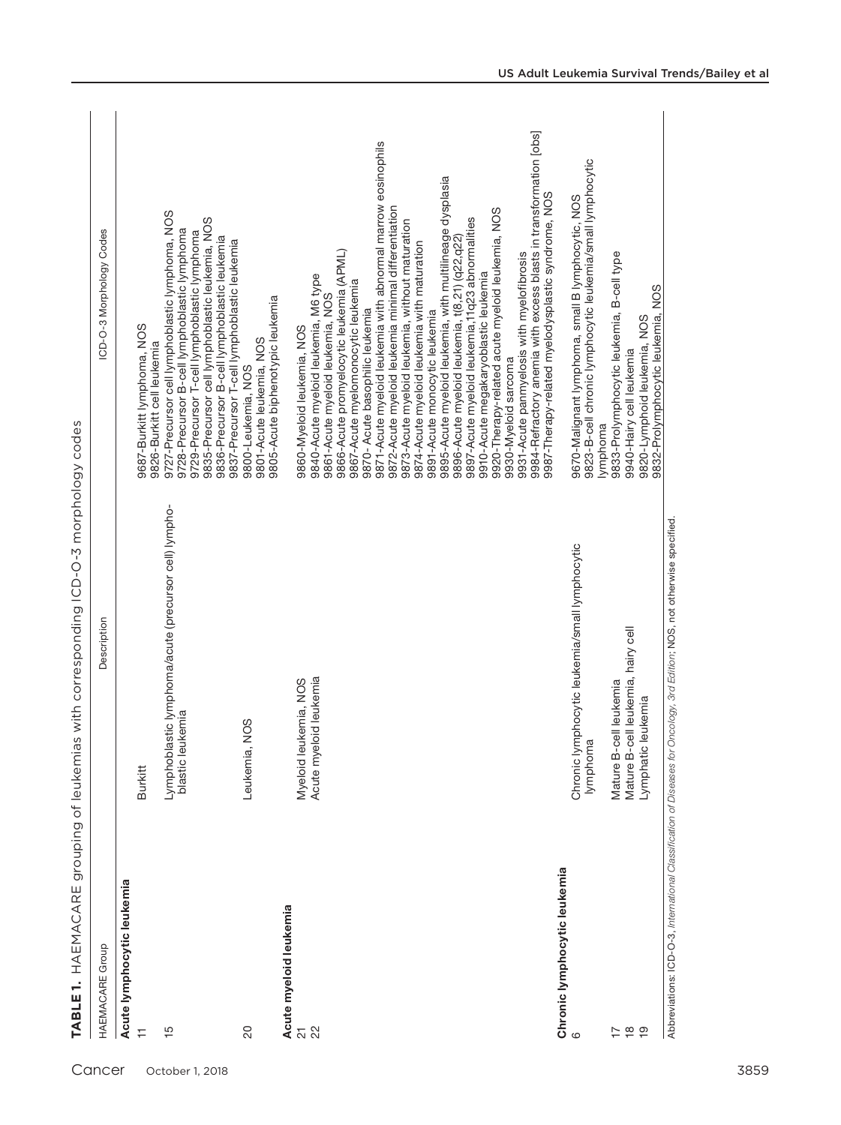| Acute lymphocytic leukemia              |                                                                             |                                                                                                                                                                                                                                                                                                                                                                                                                                                                                                                                                                                                                                                                                                                                                                                                                                                                                                                                                   |
|-----------------------------------------|-----------------------------------------------------------------------------|---------------------------------------------------------------------------------------------------------------------------------------------------------------------------------------------------------------------------------------------------------------------------------------------------------------------------------------------------------------------------------------------------------------------------------------------------------------------------------------------------------------------------------------------------------------------------------------------------------------------------------------------------------------------------------------------------------------------------------------------------------------------------------------------------------------------------------------------------------------------------------------------------------------------------------------------------|
| $\overline{1}$                          | <b>Burkitt</b>                                                              | 9687-Burkitt lymphoma, NOS<br>9826-Burkitt cell leukemia                                                                                                                                                                                                                                                                                                                                                                                                                                                                                                                                                                                                                                                                                                                                                                                                                                                                                          |
| $\frac{15}{2}$                          | Lymphoblastic lymphoma/acute (precursor cell) lympho-<br>blastic leukemia   | 9727-Precursor cell lymphoblastic lymphoma, NOS<br>9835-Precursor cell lymphoblastic leukemia, NOS<br>9728-Precursor B-cell lymphoblastic lymphoma<br>9729-Precursor T-cell lymphoblastic lymphoma<br>9836-Precursor B-cell lymphoblastic leukemia<br>9837-Precursor T-cell lymphoblastic leukemia                                                                                                                                                                                                                                                                                                                                                                                                                                                                                                                                                                                                                                                |
| $\overline{c}$                          | NO <sub>S</sub><br>Leukemia,                                                | 9805-Acute biphenotypic leukemia<br>9801-Acute leukemia, NOS<br>9800-Leukemia, NOS                                                                                                                                                                                                                                                                                                                                                                                                                                                                                                                                                                                                                                                                                                                                                                                                                                                                |
|                                         |                                                                             |                                                                                                                                                                                                                                                                                                                                                                                                                                                                                                                                                                                                                                                                                                                                                                                                                                                                                                                                                   |
| Acute myeloid leukemia<br>21<br>22      | Acute myeloid leukemia<br>Myeloid leukemia, NOS                             | 9984-Refractory anemia with excess blasts in transformation [obs]<br>9871-Acute myeloid leukemia with abnormal marrow eosinophils<br>9895-Acute myeloid leukemia, with multilineage dysplasia<br>9987-Therapy-related myelodysplastic syndrome, NOS<br>9872-Acute myeloid leukemia minimal differentiation<br>9920-Therapy-related acute myeloid leukemia, NOS<br>9897-Acute myeloid leukemia,11q23 abnormalities<br>9873-Acute myeloid leukemia, without maturation<br>9896-Acute myeloid leukemia, t(8,21) (q22,q22)<br>9874-Acute myeloid leukemia with maturation<br>9866-Acute promyelocytic leukemia (APML)<br>9931-Acute panmyelosis with myelofibrosis<br>9910-Acute megakaryoblastic leukemia<br>9840-Acute myeloid leukemia, M6 type<br>9867-Acute myelomonocytic leukemia<br>9861-Acute myeloid leukemia, NOS<br>9870-Acute basophilic leukemia<br>9891-Acute monocytic leukemia<br>9860-Myeloid leukemia, NOS<br>9930-Myeloid sarcoma |
| Chronic lymphocytic leukemia<br>$\circ$ |                                                                             |                                                                                                                                                                                                                                                                                                                                                                                                                                                                                                                                                                                                                                                                                                                                                                                                                                                                                                                                                   |
|                                         | Chronic lymphocytic leukemia/small lymphocytic<br>$\overline{a}$<br>lymphom | 9823-B-cell chronic lymphocytic leukemia/small lymphocytic<br>9670-Malignant lymphoma, small B lymphocytic, NOS<br>lymphoma                                                                                                                                                                                                                                                                                                                                                                                                                                                                                                                                                                                                                                                                                                                                                                                                                       |
| 17                                      | cell leukemia, hairy cell<br>Mature B-cell leukemia<br>Mature B-            | 9833-Prolymphocytic leukemia, B-cell type<br>9940-Hairy cell leukemia                                                                                                                                                                                                                                                                                                                                                                                                                                                                                                                                                                                                                                                                                                                                                                                                                                                                             |
| $\frac{\infty}{\infty}$                 | Lymphatic leukemia                                                          | 9832-Prolymphocytic leukemia, NOS<br>9820-Lymphoid leukemia, NOS                                                                                                                                                                                                                                                                                                                                                                                                                                                                                                                                                                                                                                                                                                                                                                                                                                                                                  |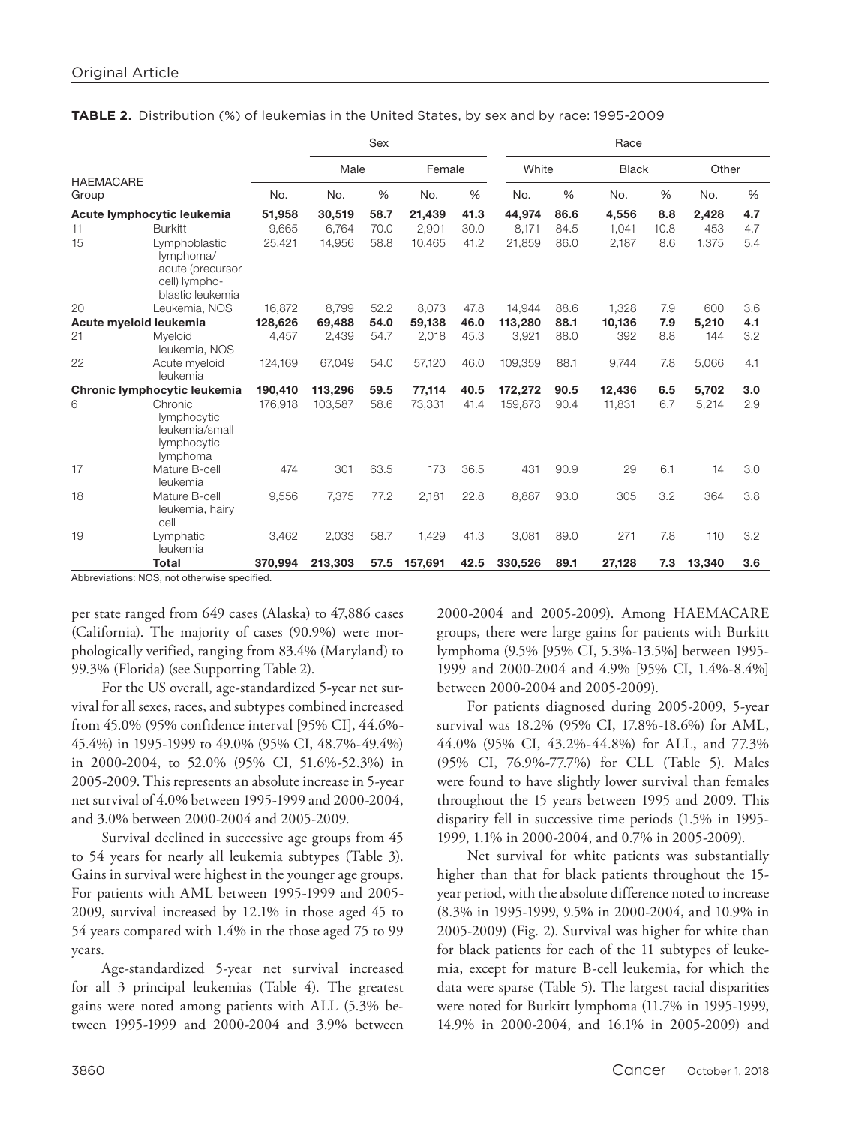|                           |                                                                                     |         |         | Sex  |         |      |         |               | Race         |      |        |     |
|---------------------------|-------------------------------------------------------------------------------------|---------|---------|------|---------|------|---------|---------------|--------------|------|--------|-----|
|                           |                                                                                     |         | Male    |      | Female  |      | White   |               | <b>Black</b> |      | Other  |     |
| <b>HAEMACARE</b><br>Group |                                                                                     | No.     | No.     | %    | No.     | %    | No.     | $\frac{0}{0}$ | No.          | %    | No.    | %   |
|                           | Acute lymphocytic leukemia                                                          | 51,958  | 30,519  | 58.7 | 21,439  | 41.3 | 44.974  | 86.6          | 4,556        | 8.8  | 2,428  | 4.7 |
| 11                        | <b>Burkitt</b>                                                                      | 9.665   | 6,764   | 70.0 | 2,901   | 30.0 | 8,171   | 84.5          | 1,041        | 10.8 | 453    | 4.7 |
| 15                        | Lymphoblastic<br>lymphoma/<br>acute (precursor<br>cell) lympho-<br>blastic leukemia | 25,421  | 14,956  | 58.8 | 10,465  | 41.2 | 21,859  | 86.0          | 2,187        | 8.6  | 1,375  | 5.4 |
| 20                        | Leukemia, NOS                                                                       | 16.872  | 8,799   | 52.2 | 8.073   | 47.8 | 14.944  | 88.6          | 1,328        | 7.9  | 600    | 3.6 |
|                           | Acute myeloid leukemia                                                              | 128,626 | 69,488  | 54.0 | 59,138  | 46.0 | 113,280 | 88.1          | 10,136       | 7.9  | 5,210  | 4.1 |
| 21                        | Mveloid<br>leukemia, NOS                                                            | 4.457   | 2,439   | 54.7 | 2,018   | 45.3 | 3,921   | 88.0          | 392          | 8.8  | 144    | 3.2 |
| 22                        | Acute myeloid<br>leukemia                                                           | 124,169 | 67,049  | 54.0 | 57,120  | 46.0 | 109,359 | 88.1          | 9,744        | 7.8  | 5,066  | 4.1 |
|                           | Chronic lymphocytic leukemia                                                        | 190,410 | 113,296 | 59.5 | 77,114  | 40.5 | 172,272 | 90.5          | 12,436       | 6.5  | 5.702  | 3.0 |
| 6                         | Chronic<br>lymphocytic<br>leukemia/small<br>lymphocytic<br>lymphoma                 | 176.918 | 103.587 | 58.6 | 73.331  | 41.4 | 159.873 | 90.4          | 11,831       | 6.7  | 5,214  | 2.9 |
| 17                        | Mature B-cell<br>leukemia                                                           | 474     | 301     | 63.5 | 173     | 36.5 | 431     | 90.9          | 29           | 6.1  | 14     | 3.0 |
| 18                        | Mature B-cell<br>leukemia, hairy<br>cell                                            | 9,556   | 7,375   | 77.2 | 2,181   | 22.8 | 8,887   | 93.0          | 305          | 3.2  | 364    | 3.8 |
| 19                        | Lymphatic<br>leukemia                                                               | 3,462   | 2,033   | 58.7 | 1,429   | 41.3 | 3,081   | 89.0          | 271          | 7.8  | 110    | 3.2 |
|                           | <b>Total</b>                                                                        | 370,994 | 213,303 | 57.5 | 157,691 | 42.5 | 330,526 | 89.1          | 27,128       | 7.3  | 13,340 | 3.6 |

| <b>TABLE 2.</b> Distribution (%) of leukemias in the United States, by sex and by race: 1995-2009 |  |
|---------------------------------------------------------------------------------------------------|--|
|---------------------------------------------------------------------------------------------------|--|

Abbreviations: NOS, not otherwise specified.

per state ranged from 649 cases (Alaska) to 47,886 cases (California). The majority of cases (90.9%) were morphologically verified, ranging from 83.4% (Maryland) to 99.3% (Florida) (see Supporting Table 2).

For the US overall, age-standardized 5-year net survival for all sexes, races, and subtypes combined increased from 45.0% (95% confidence interval [95% CI], 44.6%- 45.4%) in 1995-1999 to 49.0% (95% CI, 48.7%-49.4%) in 2000-2004, to 52.0% (95% CI, 51.6%-52.3%) in 2005-2009. This represents an absolute increase in 5-year net survival of 4.0% between 1995-1999 and 2000-2004, and 3.0% between 2000-2004 and 2005-2009.

Survival declined in successive age groups from 45 to 54 years for nearly all leukemia subtypes (Table 3). Gains in survival were highest in the younger age groups. For patients with AML between 1995-1999 and 2005- 2009, survival increased by 12.1% in those aged 45 to 54 years compared with 1.4% in the those aged 75 to 99 years.

Age-standardized 5-year net survival increased for all 3 principal leukemias (Table 4). The greatest gains were noted among patients with ALL (5.3% between 1995-1999 and 2000-2004 and 3.9% between

2000-2004 and 2005-2009). Among HAEMACARE groups, there were large gains for patients with Burkitt lymphoma (9.5% [95% CI, 5.3%-13.5%] between 1995- 1999 and 2000-2004 and 4.9% [95% CI, 1.4%-8.4%] between 2000-2004 and 2005-2009).

For patients diagnosed during 2005-2009, 5-year survival was 18.2% (95% CI, 17.8%-18.6%) for AML, 44.0% (95% CI, 43.2%-44.8%) for ALL, and 77.3% (95% CI, 76.9%-77.7%) for CLL (Table 5). Males were found to have slightly lower survival than females throughout the 15 years between 1995 and 2009. This disparity fell in successive time periods (1.5% in 1995- 1999, 1.1% in 2000-2004, and 0.7% in 2005-2009).

Net survival for white patients was substantially higher than that for black patients throughout the 15 year period, with the absolute difference noted to increase (8.3% in 1995-1999, 9.5% in 2000-2004, and 10.9% in 2005-2009) (Fig. 2). Survival was higher for white than for black patients for each of the 11 subtypes of leukemia, except for mature B-cell leukemia, for which the data were sparse (Table 5). The largest racial disparities were noted for Burkitt lymphoma (11.7% in 1995-1999, 14.9% in 2000-2004, and 16.1% in 2005-2009) and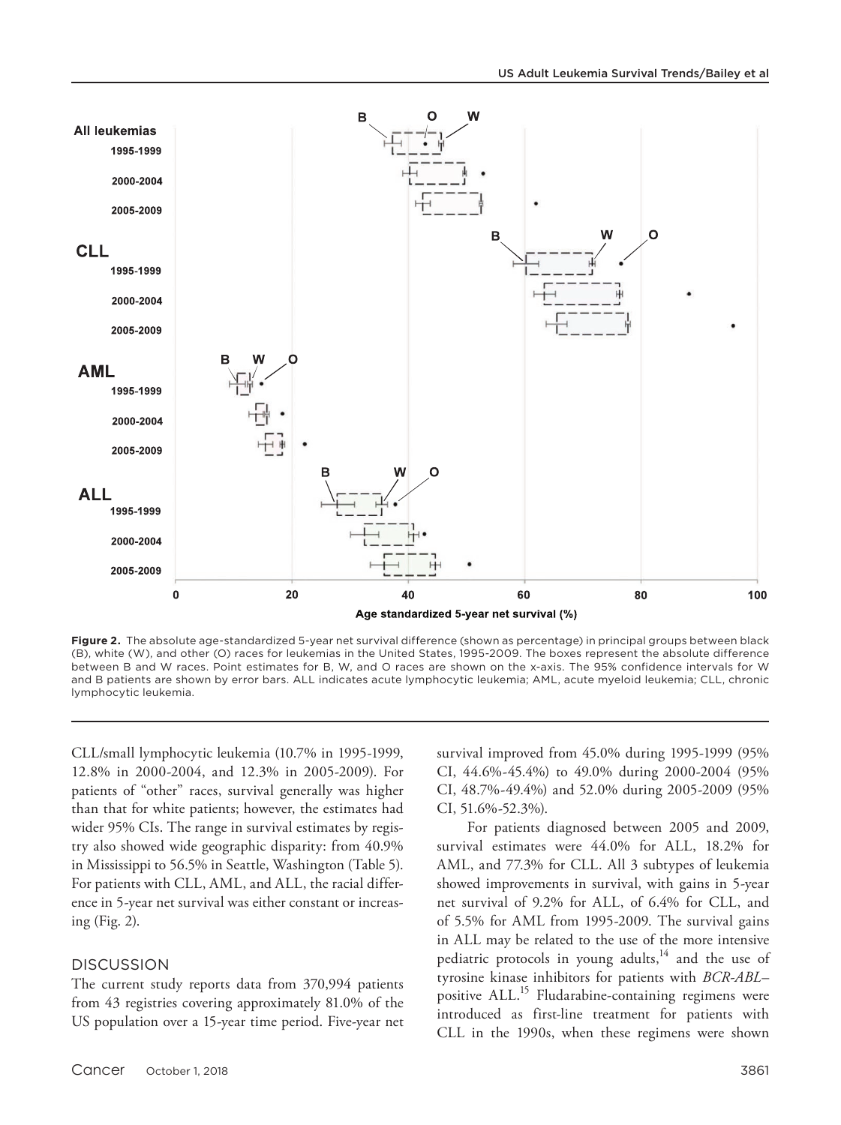

**Figure 2.** The absolute age-standardized 5-year net survival difference (shown as percentage) in principal groups between black (B), white (W), and other (O) races for leukemias in the United States, 1995-2009. The boxes represent the absolute difference between B and W races. Point estimates for B, W, and O races are shown on the x-axis. The 95% confidence intervals for W and B patients are shown by error bars. ALL indicates acute lymphocytic leukemia; AML, acute myeloid leukemia; CLL, chronic lymphocytic leukemia.

CLL/small lymphocytic leukemia (10.7% in 1995-1999, 12.8% in 2000-2004, and 12.3% in 2005-2009). For patients of "other" races, survival generally was higher than that for white patients; however, the estimates had wider 95% CIs. The range in survival estimates by registry also showed wide geographic disparity: from 40.9% in Mississippi to 56.5% in Seattle, Washington (Table 5). For patients with CLL, AML, and ALL, the racial difference in 5-year net survival was either constant or increasing (Fig. 2).

### **DISCUSSION**

The current study reports data from 370,994 patients from 43 registries covering approximately 81.0% of the US population over a 15-year time period. Five-year net

Cancer October 1, 2018 3861

survival improved from 45.0% during 1995-1999 (95% CI, 44.6%-45.4%) to 49.0% during 2000-2004 (95% CI, 48.7%-49.4%) and 52.0% during 2005-2009 (95% CI, 51.6%-52.3%).

For patients diagnosed between 2005 and 2009, survival estimates were 44.0% for ALL, 18.2% for AML, and 77.3% for CLL. All 3 subtypes of leukemia showed improvements in survival, with gains in 5-year net survival of 9.2% for ALL, of 6.4% for CLL, and of 5.5% for AML from 1995-2009. The survival gains in ALL may be related to the use of the more intensive pediatric protocols in young adults, $14$  and the use of tyrosine kinase inhibitors for patients with *BCR-ABL*– positive ALL.<sup>15</sup> Fludarabine-containing regimens were introduced as first-line treatment for patients with CLL in the 1990s, when these regimens were shown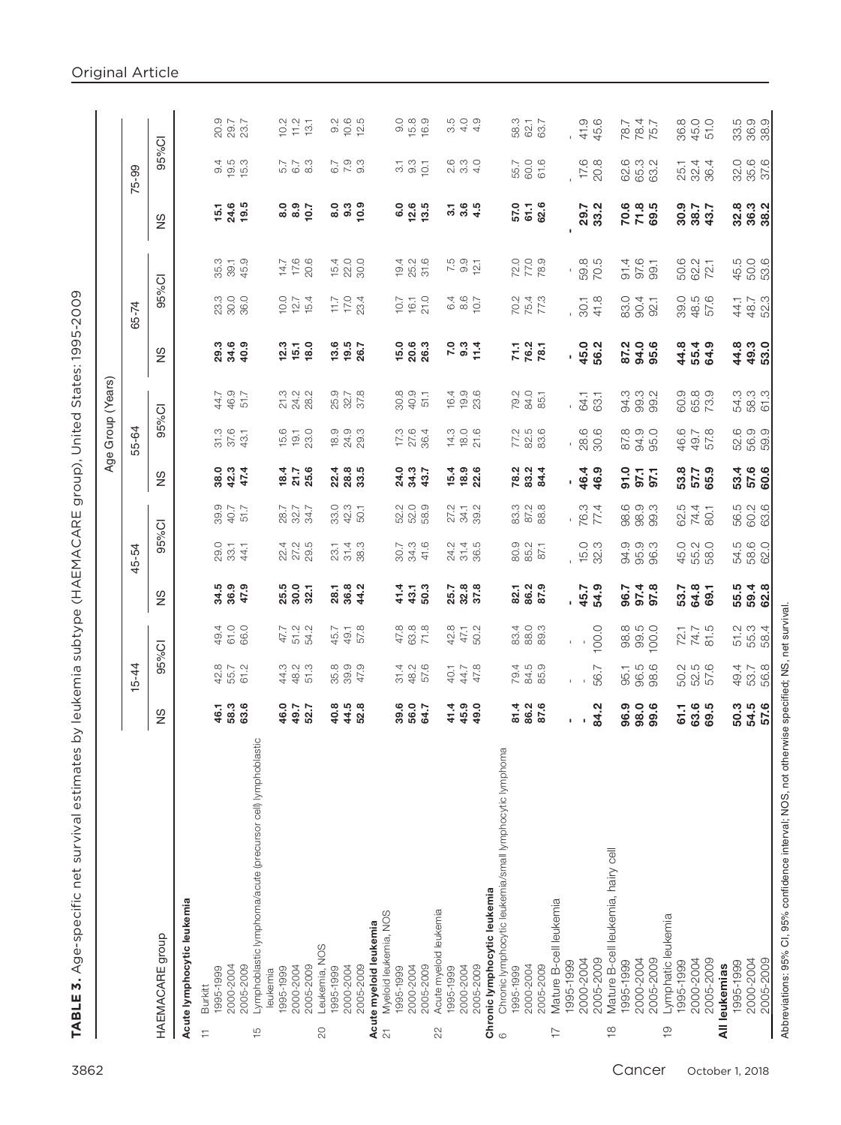| $\frac{1}{2}$                                                                                                  |
|----------------------------------------------------------------------------------------------------------------|
|                                                                                                                |
|                                                                                                                |
|                                                                                                                |
|                                                                                                                |
| l                                                                                                              |
|                                                                                                                |
|                                                                                                                |
|                                                                                                                |
|                                                                                                                |
|                                                                                                                |
| 1                                                                                                              |
|                                                                                                                |
|                                                                                                                |
|                                                                                                                |
|                                                                                                                |
|                                                                                                                |
|                                                                                                                |
|                                                                                                                |
|                                                                                                                |
| ׇׇ֚֚֕֕                                                                                                         |
| ļ                                                                                                              |
| ֦֧֦֧֦֧֦֧֦֧֦֧֦֧֦֧֦֧֦֧֦֧֦֧֦֧֚֚֚֬֜֡                                                                               |
|                                                                                                                |
|                                                                                                                |
|                                                                                                                |
|                                                                                                                |
| (<br>;<br>;<br>;                                                                                               |
| į                                                                                                              |
|                                                                                                                |
|                                                                                                                |
|                                                                                                                |
|                                                                                                                |
|                                                                                                                |
|                                                                                                                |
|                                                                                                                |
|                                                                                                                |
|                                                                                                                |
| ؛<br>؛                                                                                                         |
|                                                                                                                |
|                                                                                                                |
|                                                                                                                |
|                                                                                                                |
|                                                                                                                |
|                                                                                                                |
|                                                                                                                |
|                                                                                                                |
|                                                                                                                |
|                                                                                                                |
|                                                                                                                |
|                                                                                                                |
|                                                                                                                |
|                                                                                                                |
|                                                                                                                |
|                                                                                                                |
|                                                                                                                |
|                                                                                                                |
|                                                                                                                |
|                                                                                                                |
|                                                                                                                |
|                                                                                                                |
|                                                                                                                |
| l                                                                                                              |
|                                                                                                                |
| $\overline{a}$                                                                                                 |
| ;<br>;                                                                                                         |
| L<br>l                                                                                                         |
| )                                                                                                              |
| Ś<br>ℷ<br>í<br>١                                                                                               |
| į                                                                                                              |
| l                                                                                                              |
| ١<br>I                                                                                                         |
| and the state of the state of the state of the state of the state of the state of the state of the state of th |
|                                                                                                                |
|                                                                                                                |
| I<br>J<br>ł                                                                                                    |
|                                                                                                                |
|                                                                                                                |
|                                                                                                                |
| <b>TABLE</b>                                                                                                   |

|                                                                                |                      |                            |                                      |                              |                                                 |                    |                                        |                      | Age Group (Years)                    |                         |                         |                         |                        |                                            |                                                     |
|--------------------------------------------------------------------------------|----------------------|----------------------------|--------------------------------------|------------------------------|-------------------------------------------------|--------------------|----------------------------------------|----------------------|--------------------------------------|-------------------------|-------------------------|-------------------------|------------------------|--------------------------------------------|-----------------------------------------------------|
|                                                                                |                      | $5 - 44$                   |                                      |                              | 45-54                                           |                    |                                        | 55-64                |                                      |                         | 65-74                   |                         |                        | 75-99                                      |                                                     |
| HAEMACARE group                                                                | $\frac{8}{2}$        | 95%CI                      |                                      | $\frac{8}{2}$                | 95%Cl                                           |                    | $\frac{8}{2}$                          | 95%Cl                |                                      | $\frac{8}{2}$           | 95%Cl                   |                         | $\frac{8}{2}$          | 95%Cl                                      |                                                     |
| Acute lymphocytic leukemia                                                     |                      |                            |                                      |                              |                                                 |                    |                                        |                      |                                      |                         |                         |                         |                        |                                            |                                                     |
| Burkitt<br>≓                                                                   |                      |                            |                                      |                              |                                                 |                    |                                        |                      |                                      |                         |                         |                         |                        |                                            |                                                     |
| 1995-1999                                                                      |                      | 42.8                       |                                      |                              |                                                 | 39.9<br>40.7       |                                        | 37.6<br>37.6         |                                      |                         |                         | 35.3                    |                        |                                            |                                                     |
| 2005-2009<br>2000-2004                                                         | 46.1<br>58.3<br>63.9 | 55.7<br>61.2               | 49.4<br>61.0<br>66.0                 | 5<br>36<br>5<br>47<br>5<br>4 | 29.1<br>33.1<br>44.1                            | 51.7               | 38.3<br>38.3<br>47.4                   | 43.1                 | $44.7$<br>$46.3$<br>$51.7$           | 3<br>23<br>3 3 4<br>3 4 | 3<br>3<br>3<br>3<br>3   | $39.1$<br>45.9          | $15.1$<br>24.6<br>19.5 |                                            | 0.9<br>29.7<br>23.7                                 |
| Lymphoblastic lymphoma/acute (precursor cell) lymphoblastic<br>$\frac{10}{10}$ |                      |                            |                                      |                              |                                                 |                    |                                        |                      |                                      |                         |                         |                         |                        |                                            |                                                     |
| leukemia                                                                       |                      |                            |                                      |                              |                                                 |                    |                                        |                      |                                      |                         |                         |                         |                        |                                            |                                                     |
| 1995-1999                                                                      | 46.0                 |                            | 47.7                                 | 5.0<br>2007<br>2008          | 22.4                                            | 28.7               | 18.4                                   | 15.6                 | 3<br>2<br>3<br>2<br>3<br>2<br>3      | 12.3                    | 10.0                    | 14.7                    | 8.9<br>8.9<br>9.0      | 5700000                                    | $0.2$<br>$0.2$<br>$0.2$<br>$0.3$                    |
| 2005-2009<br>2000-2004                                                         | 49.7<br>52.7         |                            | 51.2                                 |                              | 27.2<br>29.5                                    | 32.7               | 25.6<br>21.7                           | $19.1$<br>23.0       |                                      | $15.1$<br>18.0          | $12.7$<br>$15.4$        | $17.6$<br>20.6          |                        |                                            |                                                     |
| Leukemia, NOS<br>$\gtrsim$                                                     |                      |                            |                                      |                              |                                                 |                    |                                        |                      |                                      |                         |                         |                         |                        |                                            |                                                     |
| 1995-1999                                                                      |                      |                            | 45.7                                 |                              |                                                 |                    |                                        |                      |                                      | 13.6                    |                         |                         |                        |                                            |                                                     |
| 2000-2004                                                                      | 448<br>448           | 8<br>8<br>8<br>9<br>4<br>7 | 49.1                                 | 28.3<br>28.9<br>44.2         |                                                 | $33.3$<br>42.3     |                                        | 03 03 03<br>12 03 03 | 9<br>9<br>9<br>9<br>9<br>9<br>9<br>9 |                         |                         | 15.0<br>22.0<br>30.0    | ဝ ຕ ၈<br>ထ ၀ ဝ         | $6799$<br>$-99$                            | $0.260$<br>$0.660$                                  |
| 2005-2009                                                                      |                      |                            | 57.8                                 |                              | 23.1<br>23.1<br>38.3                            | 50.1               | <del>។</del><br>21 នាំ 31<br>21 នាំ 31 |                      |                                      | $19.5$<br>$26.7$        | $\frac{17}{17}$<br>23.4 |                         |                        |                                            |                                                     |
| Acute myeloid leukemia                                                         |                      |                            |                                      |                              |                                                 |                    |                                        |                      |                                      |                         |                         |                         |                        |                                            |                                                     |
| Myeloid leukemia, NOS<br>$\overline{\mathbb{N}}$                               |                      |                            |                                      |                              |                                                 |                    |                                        |                      |                                      |                         |                         |                         |                        |                                            |                                                     |
| 1995-1999                                                                      | 39.0<br>56.7<br>64.7 | 31.4<br>48.2               | 47.8<br>63.8                         | 41.4<br>43.1                 | $\frac{5}{3}$<br>$\frac{3}{4}$<br>$\frac{4}{5}$ | 52.0               | 24.0<br>34.3                           | $\frac{73}{264}$     | $30.8$<br>40.9                       | <b>15.0</b><br>20.6     | 7.01                    | $\frac{94}{25.2}$       |                        | $\frac{7}{9}$ $\frac{3}{9}$ $\frac{7}{10}$ | 0<br>0 i0 i0<br>0 i0 i0                             |
| 2005-2009<br>2000-2004                                                         |                      | 57.6                       | 71.8                                 | 50.3                         |                                                 | 58.9               | 43.7                                   |                      | 51.1                                 | 26.3                    | 21.0                    |                         |                        |                                            |                                                     |
| Acute myeloid leukemia<br>22                                                   |                      |                            |                                      |                              |                                                 |                    |                                        |                      |                                      |                         |                         |                         |                        |                                            |                                                     |
| 1995-1999                                                                      | 41.4                 | 40.1                       | 42.8                                 |                              |                                                 | 27.2               |                                        |                      | $\overline{6}$                       |                         | 6.4                     |                         |                        |                                            |                                                     |
| 2000-2004                                                                      |                      | 44.7                       |                                      |                              |                                                 |                    |                                        |                      |                                      |                         |                         |                         |                        |                                            | $\begin{array}{c} 1000 \\ 4000 \\ 1000 \end{array}$ |
| 2005-2009                                                                      | 45.9<br>49.0         | 47.8                       | 47.1<br>50.2                         | 25.7<br>32.8<br>37.8         |                                                 | $34.1$<br>$39.2$   | $15.9$<br>$15.9$<br>$22.6$             | $14.0$<br>$21.6$     | $16.9$<br>$0.9$<br>$0.6$             | $7.0$<br>$7.0$<br>$7.4$ | $8.6$<br>10.7           | $7.5$<br>$9.7$<br>$9.1$ | $7.69$<br>$3.4$        |                                            |                                                     |
| Chronic lymphocytic leukemia                                                   |                      |                            |                                      |                              |                                                 |                    |                                        |                      |                                      |                         |                         |                         |                        |                                            |                                                     |
| Chronic lymphocytic leukemia/small lymphocytic lymphoma<br>$\circ$             |                      |                            |                                      |                              |                                                 |                    |                                        |                      |                                      |                         |                         |                         |                        |                                            |                                                     |
| 1995-1999                                                                      | 81.4                 | 79.4                       | 83.4                                 | 82.1                         | 80.9                                            | 83.3               |                                        |                      |                                      |                         |                         | 72.0                    | 57.0                   | 55.7                                       | 58.3                                                |
| 2000-2004                                                                      | 86.2<br>87.6         | 84.5<br>85.9               | 88.3<br>89.3                         | 86.2<br>87.9                 | 85.2                                            | 87.2<br>88.8       |                                        | $72800$<br>$820$     | 79.2<br>84.0<br>85.1                 | 71.1<br>78.1<br>78.1    | 70.4<br>75.4<br>77.3    | 77.0<br>78.9            | 61.1<br>62.6           | 60.0                                       | 62.7                                                |
| 2005-2009                                                                      |                      |                            |                                      |                              | 87,1                                            |                    |                                        |                      |                                      |                         |                         |                         |                        | 61.6                                       |                                                     |
| Mature B-cell leukemia<br>$\overline{\phantom{0}}$                             |                      |                            |                                      |                              |                                                 |                    |                                        |                      |                                      |                         |                         |                         |                        |                                            |                                                     |
| 1995-1999                                                                      |                      |                            |                                      |                              |                                                 |                    |                                        |                      |                                      | r.                      |                         |                         |                        |                                            |                                                     |
| 2000-2004                                                                      | $\sim$               |                            |                                      | 45.7                         | 15.3<br>32.3                                    | - 76.3             | 46.4                                   | 28.6<br>30.6         | - 21<br>- 21                         | 45.0<br>56.2            | $-30.1$                 | 59.8<br>70.5            | 29.7<br>33.2           | $17.6$<br>20.8                             | 41.9                                                |
| 2005-2009                                                                      | 84.2                 | 56.7                       | 100.0                                | 54.9                         |                                                 | 77.4               | 46.9                                   |                      | 63.1                                 |                         | 41.8                    |                         |                        |                                            | 45.6                                                |
| Mature B-cell leukemia, hairy cell<br>$\frac{\infty}{\tau}$                    |                      |                            |                                      |                              |                                                 |                    |                                        |                      |                                      |                         |                         |                         |                        |                                            |                                                     |
| 1995-1999                                                                      | 96.9                 | 95.1                       | 98.8                                 | 96.7                         | 94.9                                            | 98.6               | 91.0                                   | 87.8                 | 94.3                                 | 87.2                    | 83.0                    | 91.4                    | 70.6                   | 62.6                                       | 78.7                                                |
| 2000-2004                                                                      | 98.0<br>99.6         | 96.5                       | 99.5<br>100.0                        | 97.4                         | 95.9<br>96.3                                    | 98.9               | 97.1                                   | 94.9<br>95.0         | 99.3<br>99.2                         | 94.0<br>95.6            | 90.4                    | 97.6                    | 71.8                   | 65.3<br>63.2                               | 78.7<br>75.7                                        |
| 2005-2009                                                                      |                      | 98.6                       |                                      | 97.8                         |                                                 | 99.3               | 97.1                                   |                      |                                      |                         | 92.1                    | 99.1                    | 69.5                   |                                            |                                                     |
| Lymphatic leukemia<br>$\overline{0}$                                           |                      |                            |                                      |                              |                                                 |                    |                                        |                      |                                      |                         |                         |                         |                        |                                            |                                                     |
| 1995-1999                                                                      | 61.1                 | 50.2                       | 72.1                                 | 53.7                         | 45.0                                            | 62.5               | 53.8                                   | 46.6                 | 60.9                                 | 44.8                    | 39.0                    | 50.6                    | 30.9                   | 25.1                                       | 36.8                                                |
| 2000-2004                                                                      | 63.5<br>69.5         | 52.5<br>57.6               | 74.7                                 | 64.8<br>69.1                 | 55.2<br>58.0                                    | 74.4               | 57.7<br>65.9                           | 49.7                 | 65.8                                 | 55.4<br>64.9            | 48.5<br>57.6            | 62.2                    | 38.7                   | 32.4<br>36.4                               | 45.0<br>51.0                                        |
| 2005-2009                                                                      |                      |                            | 81.5                                 |                              |                                                 | 80,1               |                                        | 57.8                 |                                      |                         |                         |                         | 43.7                   |                                            |                                                     |
| All leukemias                                                                  |                      |                            |                                      |                              |                                                 |                    |                                        |                      |                                      |                         |                         |                         |                        |                                            |                                                     |
| 1995-1999                                                                      | 50.5<br>57.5<br>57.5 | 49.7<br>53.7               | 5<br>5<br>5<br>5<br>5<br>5<br>3<br>5 | 55.4<br>59.4<br>62.8         |                                                 | 56.0<br>50.0<br>50 | 53.4<br>57.6<br>60.6                   | 6<br>0000<br>0000    | 3<br>3<br>3<br>5<br>5<br>5<br>5<br>5 | $49.0$<br>$49.0$<br>$0$ | 44.1                    | 45.06<br>58.9           | 8<br>8<br>8<br>8<br>8  | 0.0<br>35.6<br>37.6                        |                                                     |
| 2000-2004                                                                      |                      |                            |                                      |                              |                                                 |                    |                                        |                      |                                      |                         | 48.7                    |                         |                        |                                            |                                                     |
| 2005-2009                                                                      |                      | 56.8                       |                                      |                              |                                                 |                    |                                        |                      |                                      |                         |                         |                         |                        |                                            |                                                     |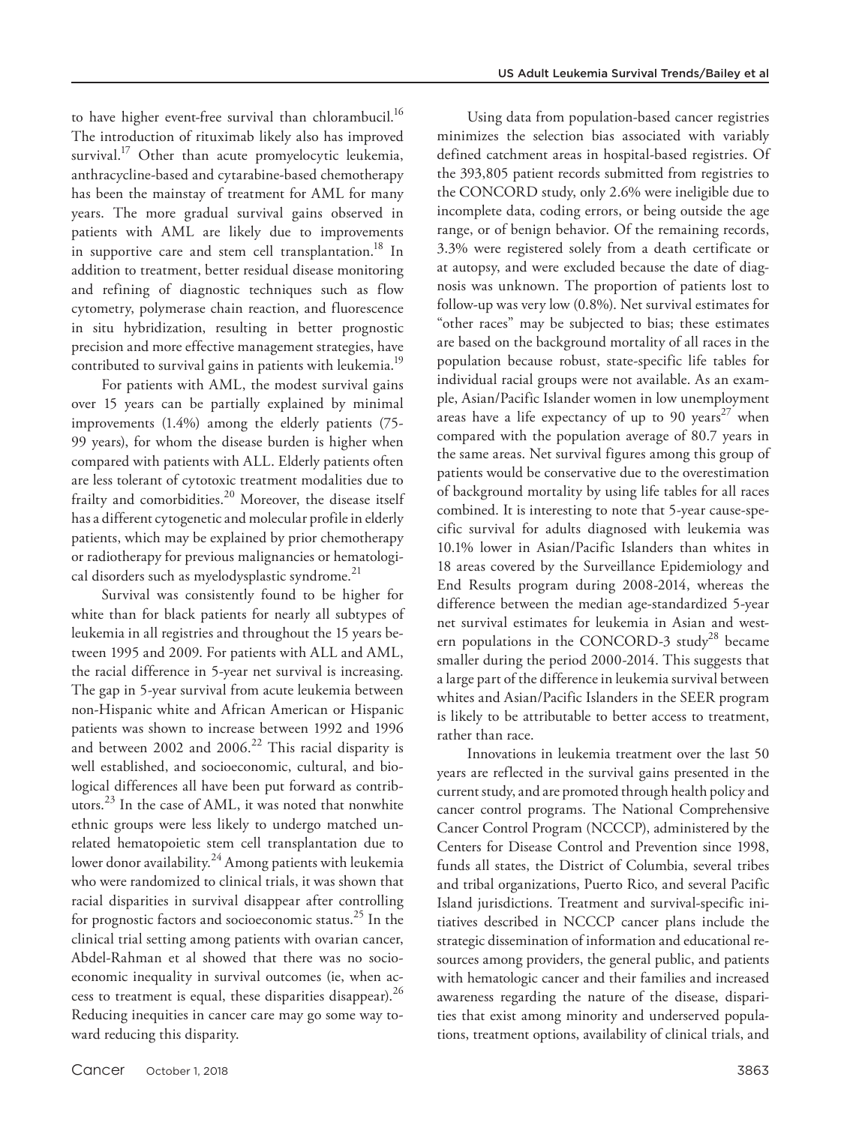to have higher event-free survival than chlorambucil.<sup>16</sup> The introduction of rituximab likely also has improved survival.<sup>17</sup> Other than acute promyelocytic leukemia, anthracycline-based and cytarabine-based chemotherapy has been the mainstay of treatment for AML for many years. The more gradual survival gains observed in patients with AML are likely due to improvements in supportive care and stem cell transplantation.<sup>18</sup> In addition to treatment, better residual disease monitoring and refining of diagnostic techniques such as flow cytometry, polymerase chain reaction, and fluorescence in situ hybridization, resulting in better prognostic precision and more effective management strategies, have contributed to survival gains in patients with leukemia.<sup>19</sup>

For patients with AML, the modest survival gains over 15 years can be partially explained by minimal improvements (1.4%) among the elderly patients (75- 99 years), for whom the disease burden is higher when compared with patients with ALL. Elderly patients often are less tolerant of cytotoxic treatment modalities due to frailty and comorbidities. $^{20}$  Moreover, the disease itself has a different cytogenetic and molecular profile in elderly patients, which may be explained by prior chemotherapy or radiotherapy for previous malignancies or hematological disorders such as myelodysplastic syndrome. $^{21}$ 

Survival was consistently found to be higher for white than for black patients for nearly all subtypes of leukemia in all registries and throughout the 15 years between 1995 and 2009. For patients with ALL and AML, the racial difference in 5-year net survival is increasing. The gap in 5-year survival from acute leukemia between non-Hispanic white and African American or Hispanic patients was shown to increase between 1992 and 1996 and between 2002 and  $2006.<sup>22</sup>$  This racial disparity is well established, and socioeconomic, cultural, and biological differences all have been put forward as contributors. $^{23}$  In the case of AML, it was noted that nonwhite ethnic groups were less likely to undergo matched unrelated hematopoietic stem cell transplantation due to lower donor availability.<sup>24</sup> Among patients with leukemia who were randomized to clinical trials, it was shown that racial disparities in survival disappear after controlling for prognostic factors and socioeconomic status.<sup>25</sup> In the clinical trial setting among patients with ovarian cancer, Abdel-Rahman et al showed that there was no socioeconomic inequality in survival outcomes (ie, when access to treatment is equal, these disparities disappear).<sup>26</sup> Reducing inequities in cancer care may go some way toward reducing this disparity.

Using data from population-based cancer registries minimizes the selection bias associated with variably defined catchment areas in hospital-based registries. Of the 393,805 patient records submitted from registries to the CONCORD study, only 2.6% were ineligible due to incomplete data, coding errors, or being outside the age range, or of benign behavior. Of the remaining records, 3.3% were registered solely from a death certificate or at autopsy, and were excluded because the date of diagnosis was unknown. The proportion of patients lost to follow-up was very low (0.8%). Net survival estimates for "other races" may be subjected to bias; these estimates are based on the background mortality of all races in the population because robust, state-specific life tables for individual racial groups were not available. As an example, Asian/Pacific Islander women in low unemployment areas have a life expectancy of up to 90 years<sup>27</sup> when compared with the population average of 80.7 years in the same areas. Net survival figures among this group of patients would be conservative due to the overestimation of background mortality by using life tables for all races combined. It is interesting to note that 5-year cause-specific survival for adults diagnosed with leukemia was 10.1% lower in Asian/Pacific Islanders than whites in 18 areas covered by the Surveillance Epidemiology and End Results program during 2008-2014, whereas the difference between the median age-standardized 5-year net survival estimates for leukemia in Asian and western populations in the CONCORD-3 study<sup>28</sup> became smaller during the period 2000-2014. This suggests that a large part of the difference in leukemia survival between whites and Asian/Pacific Islanders in the SEER program is likely to be attributable to better access to treatment, rather than race.

Innovations in leukemia treatment over the last 50 years are reflected in the survival gains presented in the current study, and are promoted through health policy and cancer control programs. The National Comprehensive Cancer Control Program (NCCCP), administered by the Centers for Disease Control and Prevention since 1998, funds all states, the District of Columbia, several tribes and tribal organizations, Puerto Rico, and several Pacific Island jurisdictions. Treatment and survival-specific initiatives described in NCCCP cancer plans include the strategic dissemination of information and educational resources among providers, the general public, and patients with hematologic cancer and their families and increased awareness regarding the nature of the disease, disparities that exist among minority and underserved populations, treatment options, availability of clinical trials, and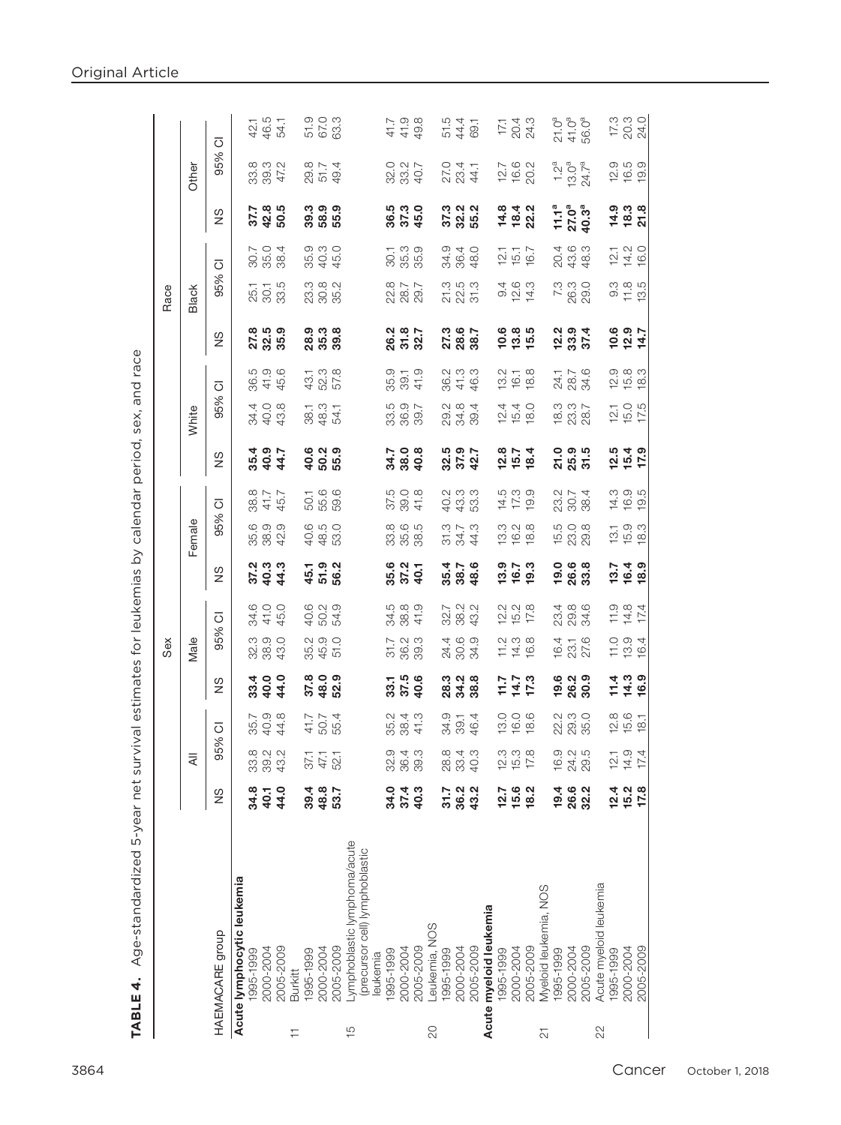| 95%<br>$33.902$<br>$47.2$<br>$29.74$<br>$49.4$<br>0<br>8<br>8<br>8<br>9<br>9<br>9<br>$0.50$<br>$0.50$<br>$0.50$<br>Other<br>27.0<br>23.4<br>$12.7$<br>$16.6$<br>$20.2$<br>$1.2a$<br>$1.3a$<br>$24.7a$<br>44.1<br><b>ာ</b> ဓာ ဓာ<br>ဓာ ဓာ ဓာ<br>ဓာ ဓာ<br>85<br>85<br>85<br>85<br>37.3<br>14.8<br>42.8<br>50.5<br>32.2<br>55.2<br>18.4<br>$\frac{11}{10}$<br>$\frac{1}{9}$<br>$\frac{1}{9}$<br>$\frac{1}{9}$<br>9<br>1 8 2<br>1 8 2<br>22.2<br>37.7<br>$\frac{8}{2}$<br>$70.7$<br>$0.04$<br>$0.04$<br>35.3<br>35.9<br>3<br>3 3 3<br>3 4 0<br>3 4 0<br>20<br>20<br>20<br>20<br>20<br>$14.2$<br>16.0<br>30.1<br>12.1<br>16.7<br>121<br>$\overline{\circ}$<br>95%<br>3<br>3<br>3<br>3<br>3<br>3<br>3<br>22.7<br>28.7<br>29.7<br>$\frac{3}{2}$<br>$\frac{3}{2}$<br>$\frac{5}{2}$<br>$\frac{3}{2}$<br>$\frac{3}{2}$<br>$7.3$<br>20.0<br>25.1<br>30.1<br>33.3<br>$\frac{9.4}{12.6}$<br>14.3<br>$30.80$<br>$7.50$<br><b>Black</b><br>27.9<br>22.9<br>35.9<br>0<br>8<br>8<br>8<br>8<br>8<br>26.2<br>25.7<br>22.7<br>27.3<br>28.6<br>0.8<br>0.8<br>15<br>15<br>12.2<br>33.4<br>37.4<br>$10.9$<br>$14.7$<br>38.7<br>$\frac{8}{2}$<br>$36.5$<br>$45.6$<br>$43.3$<br>$52.3$<br>$57.8$<br>35.9<br>$36.79$<br>$46.79$<br>$\frac{13.2}{16.1}$<br>24.7<br>28.7<br>34.6<br>$\frac{1}{2}$<br>$\frac{1}{2}$<br>$\frac{1}{2}$<br>$\frac{1}{2}$<br>41.9<br>39.1<br>$\overline{\circ}$<br>95%<br>$3408$<br>$408$<br>$408$<br>$20.88$<br>$0.49$<br>$0.49$<br>$\frac{1}{2}$ $\frac{1}{4}$ $\frac{1}{2}$ $\frac{1}{2}$<br>$\begin{array}{c} 7.8 \\ 2.8 \\ 2.8 \\ \end{array}$<br>$38.1$<br>$48.1$<br>$54.1$<br>$12.1$<br>$15.0$<br>$17.5$<br>White<br>6<br>0 0 0<br>0 0 0<br>32.5<br>37.9<br>$12.8$<br>15.7<br>21.0<br>$15.4$<br>$17.9$<br>34.7<br>38.0<br>40.8<br>42.7<br>25.9<br>31.5<br>35.4<br>44.7<br>44.7<br>18.4<br>$\frac{8}{2}$<br>50.6<br>55.6<br>59.6<br>$37.5$<br>$39.0$<br>$41.8$<br>$29.88$<br>$29.88$<br>$29.8$<br>$14.5$<br>$15.9$<br>$15.9$<br>$23.74$<br>$29.74$<br>$4.69$<br>$4.69$<br>38.7<br>45.7<br>45.7<br>$\overline{\circ}$<br>95%<br>Female<br>8<br>8<br>8<br>8<br>8<br>8<br>$31.3$<br>$34.7$<br>$\begin{array}{l} \mathbf{\ddot{u}} \ \mathbf{\ddot{u}} \ \mathbf{\ddot{u}} \\ \mathbf{\ddot{u}} \ \mathbf{\ddot{u}} \\ \mathbf{\ddot{u}} \end{array}$<br>5<br>5<br>5<br>5<br>2<br>5<br>2<br>$\begin{array}{c} 1.9 \\ 1.9 \\ 1.9 \\ 1.9 \end{array}$<br>44.3<br>37.3<br>37.3<br>37.3<br>$45.1$<br>$51.9$<br>$56.2$<br>35.6<br>37.2<br>35.7<br>38.7<br>48.4<br>$13.9$<br>$16.7$<br>0<br>0<br>0<br>0<br>0<br>0<br>0<br>0<br>19.3<br>$13.7$<br>$16.4$<br>$18.9$<br>40.1<br>$\frac{8}{2}$<br>$3400$<br>$450$<br>$\begin{array}{c} 480 \\ 480 \\ \hline \end{array}$<br>$7.7$<br>$3.83$<br>$4.3$<br>$282$<br>$15.2$<br>$17.8$<br>20<br>20<br>20<br>20<br>20<br>$\frac{11.9}{17.4}$<br>$\overline{\circ}$<br>95%<br>$35.9$<br>$35.0$<br>$51.0$<br>Male<br>$7.7$<br>$5.89$<br>$3.3$<br>$7.38$<br>$7.48$<br>16.4<br>$1.004$<br>$1.004$<br>23.1<br>27.6<br>3344<br>344<br>37.8<br>48.9<br>52.9<br>37.5<br>40.6<br>3<br>8<br>3<br>3<br>3<br>3<br>3<br>9.8<br>9.8<br>9.9<br>$74.9$<br>$74.9$<br>33.1<br>17.3<br>11.7<br>14.7<br>SN<br>$384.3$<br>$47.3$<br>34.5<br>39.1<br>46.4<br>$\begin{array}{c} 0 \\ 0 \\ 0 \\ \hline 0 \\ \end{array}$<br>0<br>20<br>20<br>20<br>20<br>20<br>$\frac{28}{15.0}$<br>$35048$<br>$448$<br>41,7<br>50.7<br>55.4<br>ਠ<br>$\%$<br>95<br>8<br>3 8 9 9<br>3 9 9<br>32.9<br>39.3<br>28.8<br>$12.3$<br>$15.3$<br>16.9<br>24.2<br>29.5<br>12.1<br>36.4<br>40.3<br>17.8<br>14.9<br>33.4<br>17.4<br>37,1<br>52.1<br>47,1<br>₹<br>44.0<br>40.3<br>19.4<br>12.4<br>39.4<br>48.8<br>34.0<br>37.4<br>36.2<br>43.2<br>15.6<br>18.2<br>26.6<br>32.2<br>15.2<br>17.8<br>34.8<br>53.7<br>31.7<br>12.7<br>40.1<br>SN<br>Lymphoblastic lymphoma/acute<br>(precursor cell) lymphoblastic<br>Acute lymphocytic leukemia<br>Acute myeloid leukemia<br>Myeloid leukemia, NOS<br>Acute myeloid leukemia<br>Leukemia, NOS<br>HAEMACARE group<br>2000-2004<br>2005-2009<br>2000-2004<br>2005-2009<br>2005-2009<br>2000-2004<br>2005-2009<br>2000-2004<br>2005-2009<br>2000-2004<br>2000-2004<br>2005-2009<br>2000-2004<br>2005-2009<br>1995-1999<br>1995-1999<br>1995-1999<br>1995-1999<br>1995-1999<br>1995-1999<br>1995-1999<br>leukemia<br><b>Burkitt</b><br>20<br>$\frac{10}{1}$<br>22<br>$\overline{\mathbb{S}}$<br>₣ | 21.0 <sup>a</sup><br>41.0 <sup>a</sup><br>56.0 <sup>a</sup><br>$\overline{\circ}$ |  |  |  | Sex |  |  |  |  | Race |  |  |
|------------------------------------------------------------------------------------------------------------------------------------------------------------------------------------------------------------------------------------------------------------------------------------------------------------------------------------------------------------------------------------------------------------------------------------------------------------------------------------------------------------------------------------------------------------------------------------------------------------------------------------------------------------------------------------------------------------------------------------------------------------------------------------------------------------------------------------------------------------------------------------------------------------------------------------------------------------------------------------------------------------------------------------------------------------------------------------------------------------------------------------------------------------------------------------------------------------------------------------------------------------------------------------------------------------------------------------------------------------------------------------------------------------------------------------------------------------------------------------------------------------------------------------------------------------------------------------------------------------------------------------------------------------------------------------------------------------------------------------------------------------------------------------------------------------------------------------------------------------------------------------------------------------------------------------------------------------------------------------------------------------------------------------------------------------------------------------------------------------------------------------------------------------------------------------------------------------------------------------------------------------------------------------------------------------------------------------------------------------------------------------------------------------------------------------------------------------------------------------------------------------------------------------------------------------------------------------------------------------------------------------------------------------------------------------------------------------------------------------------------------------------------------------------------------------------------------------------------------------------------------------------------------------------------------------------------------------------------------------------------------------------------------------------------------------------------------------------------------------------------------------------------------------------------------------------------------------------------------------------------------------------------------------------------------------------------------------------------------------------------------------------------------------------------------------------------------------------------------------------------------------------------------------------------------------------------------------------------------------------------------------------------------------------------------------------------------------------------------------------------------------------------------------------------------------------------------------------------------------------------------------------------------------------------------------------------------------------------------------------------------------------------------------------------------------------------------------------------------------------------------------------------------------------------------------------------------------------------------------------------------------------------------------------------------------------------|-----------------------------------------------------------------------------------|--|--|--|-----|--|--|--|--|------|--|--|
|                                                                                                                                                                                                                                                                                                                                                                                                                                                                                                                                                                                                                                                                                                                                                                                                                                                                                                                                                                                                                                                                                                                                                                                                                                                                                                                                                                                                                                                                                                                                                                                                                                                                                                                                                                                                                                                                                                                                                                                                                                                                                                                                                                                                                                                                                                                                                                                                                                                                                                                                                                                                                                                                                                                                                                                                                                                                                                                                                                                                                                                                                                                                                                                                                                                                                                                                                                                                                                                                                                                                                                                                                                                                                                                                                                                                                                                                                                                                                                                                                                                                                                                                                                                                                                                                                                                        |                                                                                   |  |  |  |     |  |  |  |  |      |  |  |
|                                                                                                                                                                                                                                                                                                                                                                                                                                                                                                                                                                                                                                                                                                                                                                                                                                                                                                                                                                                                                                                                                                                                                                                                                                                                                                                                                                                                                                                                                                                                                                                                                                                                                                                                                                                                                                                                                                                                                                                                                                                                                                                                                                                                                                                                                                                                                                                                                                                                                                                                                                                                                                                                                                                                                                                                                                                                                                                                                                                                                                                                                                                                                                                                                                                                                                                                                                                                                                                                                                                                                                                                                                                                                                                                                                                                                                                                                                                                                                                                                                                                                                                                                                                                                                                                                                                        |                                                                                   |  |  |  |     |  |  |  |  |      |  |  |
|                                                                                                                                                                                                                                                                                                                                                                                                                                                                                                                                                                                                                                                                                                                                                                                                                                                                                                                                                                                                                                                                                                                                                                                                                                                                                                                                                                                                                                                                                                                                                                                                                                                                                                                                                                                                                                                                                                                                                                                                                                                                                                                                                                                                                                                                                                                                                                                                                                                                                                                                                                                                                                                                                                                                                                                                                                                                                                                                                                                                                                                                                                                                                                                                                                                                                                                                                                                                                                                                                                                                                                                                                                                                                                                                                                                                                                                                                                                                                                                                                                                                                                                                                                                                                                                                                                                        |                                                                                   |  |  |  |     |  |  |  |  |      |  |  |
|                                                                                                                                                                                                                                                                                                                                                                                                                                                                                                                                                                                                                                                                                                                                                                                                                                                                                                                                                                                                                                                                                                                                                                                                                                                                                                                                                                                                                                                                                                                                                                                                                                                                                                                                                                                                                                                                                                                                                                                                                                                                                                                                                                                                                                                                                                                                                                                                                                                                                                                                                                                                                                                                                                                                                                                                                                                                                                                                                                                                                                                                                                                                                                                                                                                                                                                                                                                                                                                                                                                                                                                                                                                                                                                                                                                                                                                                                                                                                                                                                                                                                                                                                                                                                                                                                                                        |                                                                                   |  |  |  |     |  |  |  |  |      |  |  |
|                                                                                                                                                                                                                                                                                                                                                                                                                                                                                                                                                                                                                                                                                                                                                                                                                                                                                                                                                                                                                                                                                                                                                                                                                                                                                                                                                                                                                                                                                                                                                                                                                                                                                                                                                                                                                                                                                                                                                                                                                                                                                                                                                                                                                                                                                                                                                                                                                                                                                                                                                                                                                                                                                                                                                                                                                                                                                                                                                                                                                                                                                                                                                                                                                                                                                                                                                                                                                                                                                                                                                                                                                                                                                                                                                                                                                                                                                                                                                                                                                                                                                                                                                                                                                                                                                                                        |                                                                                   |  |  |  |     |  |  |  |  |      |  |  |
|                                                                                                                                                                                                                                                                                                                                                                                                                                                                                                                                                                                                                                                                                                                                                                                                                                                                                                                                                                                                                                                                                                                                                                                                                                                                                                                                                                                                                                                                                                                                                                                                                                                                                                                                                                                                                                                                                                                                                                                                                                                                                                                                                                                                                                                                                                                                                                                                                                                                                                                                                                                                                                                                                                                                                                                                                                                                                                                                                                                                                                                                                                                                                                                                                                                                                                                                                                                                                                                                                                                                                                                                                                                                                                                                                                                                                                                                                                                                                                                                                                                                                                                                                                                                                                                                                                                        |                                                                                   |  |  |  |     |  |  |  |  |      |  |  |
|                                                                                                                                                                                                                                                                                                                                                                                                                                                                                                                                                                                                                                                                                                                                                                                                                                                                                                                                                                                                                                                                                                                                                                                                                                                                                                                                                                                                                                                                                                                                                                                                                                                                                                                                                                                                                                                                                                                                                                                                                                                                                                                                                                                                                                                                                                                                                                                                                                                                                                                                                                                                                                                                                                                                                                                                                                                                                                                                                                                                                                                                                                                                                                                                                                                                                                                                                                                                                                                                                                                                                                                                                                                                                                                                                                                                                                                                                                                                                                                                                                                                                                                                                                                                                                                                                                                        |                                                                                   |  |  |  |     |  |  |  |  |      |  |  |
|                                                                                                                                                                                                                                                                                                                                                                                                                                                                                                                                                                                                                                                                                                                                                                                                                                                                                                                                                                                                                                                                                                                                                                                                                                                                                                                                                                                                                                                                                                                                                                                                                                                                                                                                                                                                                                                                                                                                                                                                                                                                                                                                                                                                                                                                                                                                                                                                                                                                                                                                                                                                                                                                                                                                                                                                                                                                                                                                                                                                                                                                                                                                                                                                                                                                                                                                                                                                                                                                                                                                                                                                                                                                                                                                                                                                                                                                                                                                                                                                                                                                                                                                                                                                                                                                                                                        |                                                                                   |  |  |  |     |  |  |  |  |      |  |  |
|                                                                                                                                                                                                                                                                                                                                                                                                                                                                                                                                                                                                                                                                                                                                                                                                                                                                                                                                                                                                                                                                                                                                                                                                                                                                                                                                                                                                                                                                                                                                                                                                                                                                                                                                                                                                                                                                                                                                                                                                                                                                                                                                                                                                                                                                                                                                                                                                                                                                                                                                                                                                                                                                                                                                                                                                                                                                                                                                                                                                                                                                                                                                                                                                                                                                                                                                                                                                                                                                                                                                                                                                                                                                                                                                                                                                                                                                                                                                                                                                                                                                                                                                                                                                                                                                                                                        |                                                                                   |  |  |  |     |  |  |  |  |      |  |  |
|                                                                                                                                                                                                                                                                                                                                                                                                                                                                                                                                                                                                                                                                                                                                                                                                                                                                                                                                                                                                                                                                                                                                                                                                                                                                                                                                                                                                                                                                                                                                                                                                                                                                                                                                                                                                                                                                                                                                                                                                                                                                                                                                                                                                                                                                                                                                                                                                                                                                                                                                                                                                                                                                                                                                                                                                                                                                                                                                                                                                                                                                                                                                                                                                                                                                                                                                                                                                                                                                                                                                                                                                                                                                                                                                                                                                                                                                                                                                                                                                                                                                                                                                                                                                                                                                                                                        |                                                                                   |  |  |  |     |  |  |  |  |      |  |  |
|                                                                                                                                                                                                                                                                                                                                                                                                                                                                                                                                                                                                                                                                                                                                                                                                                                                                                                                                                                                                                                                                                                                                                                                                                                                                                                                                                                                                                                                                                                                                                                                                                                                                                                                                                                                                                                                                                                                                                                                                                                                                                                                                                                                                                                                                                                                                                                                                                                                                                                                                                                                                                                                                                                                                                                                                                                                                                                                                                                                                                                                                                                                                                                                                                                                                                                                                                                                                                                                                                                                                                                                                                                                                                                                                                                                                                                                                                                                                                                                                                                                                                                                                                                                                                                                                                                                        |                                                                                   |  |  |  |     |  |  |  |  |      |  |  |
|                                                                                                                                                                                                                                                                                                                                                                                                                                                                                                                                                                                                                                                                                                                                                                                                                                                                                                                                                                                                                                                                                                                                                                                                                                                                                                                                                                                                                                                                                                                                                                                                                                                                                                                                                                                                                                                                                                                                                                                                                                                                                                                                                                                                                                                                                                                                                                                                                                                                                                                                                                                                                                                                                                                                                                                                                                                                                                                                                                                                                                                                                                                                                                                                                                                                                                                                                                                                                                                                                                                                                                                                                                                                                                                                                                                                                                                                                                                                                                                                                                                                                                                                                                                                                                                                                                                        |                                                                                   |  |  |  |     |  |  |  |  |      |  |  |
|                                                                                                                                                                                                                                                                                                                                                                                                                                                                                                                                                                                                                                                                                                                                                                                                                                                                                                                                                                                                                                                                                                                                                                                                                                                                                                                                                                                                                                                                                                                                                                                                                                                                                                                                                                                                                                                                                                                                                                                                                                                                                                                                                                                                                                                                                                                                                                                                                                                                                                                                                                                                                                                                                                                                                                                                                                                                                                                                                                                                                                                                                                                                                                                                                                                                                                                                                                                                                                                                                                                                                                                                                                                                                                                                                                                                                                                                                                                                                                                                                                                                                                                                                                                                                                                                                                                        |                                                                                   |  |  |  |     |  |  |  |  |      |  |  |
|                                                                                                                                                                                                                                                                                                                                                                                                                                                                                                                                                                                                                                                                                                                                                                                                                                                                                                                                                                                                                                                                                                                                                                                                                                                                                                                                                                                                                                                                                                                                                                                                                                                                                                                                                                                                                                                                                                                                                                                                                                                                                                                                                                                                                                                                                                                                                                                                                                                                                                                                                                                                                                                                                                                                                                                                                                                                                                                                                                                                                                                                                                                                                                                                                                                                                                                                                                                                                                                                                                                                                                                                                                                                                                                                                                                                                                                                                                                                                                                                                                                                                                                                                                                                                                                                                                                        |                                                                                   |  |  |  |     |  |  |  |  |      |  |  |
|                                                                                                                                                                                                                                                                                                                                                                                                                                                                                                                                                                                                                                                                                                                                                                                                                                                                                                                                                                                                                                                                                                                                                                                                                                                                                                                                                                                                                                                                                                                                                                                                                                                                                                                                                                                                                                                                                                                                                                                                                                                                                                                                                                                                                                                                                                                                                                                                                                                                                                                                                                                                                                                                                                                                                                                                                                                                                                                                                                                                                                                                                                                                                                                                                                                                                                                                                                                                                                                                                                                                                                                                                                                                                                                                                                                                                                                                                                                                                                                                                                                                                                                                                                                                                                                                                                                        |                                                                                   |  |  |  |     |  |  |  |  |      |  |  |
|                                                                                                                                                                                                                                                                                                                                                                                                                                                                                                                                                                                                                                                                                                                                                                                                                                                                                                                                                                                                                                                                                                                                                                                                                                                                                                                                                                                                                                                                                                                                                                                                                                                                                                                                                                                                                                                                                                                                                                                                                                                                                                                                                                                                                                                                                                                                                                                                                                                                                                                                                                                                                                                                                                                                                                                                                                                                                                                                                                                                                                                                                                                                                                                                                                                                                                                                                                                                                                                                                                                                                                                                                                                                                                                                                                                                                                                                                                                                                                                                                                                                                                                                                                                                                                                                                                                        |                                                                                   |  |  |  |     |  |  |  |  |      |  |  |
|                                                                                                                                                                                                                                                                                                                                                                                                                                                                                                                                                                                                                                                                                                                                                                                                                                                                                                                                                                                                                                                                                                                                                                                                                                                                                                                                                                                                                                                                                                                                                                                                                                                                                                                                                                                                                                                                                                                                                                                                                                                                                                                                                                                                                                                                                                                                                                                                                                                                                                                                                                                                                                                                                                                                                                                                                                                                                                                                                                                                                                                                                                                                                                                                                                                                                                                                                                                                                                                                                                                                                                                                                                                                                                                                                                                                                                                                                                                                                                                                                                                                                                                                                                                                                                                                                                                        |                                                                                   |  |  |  |     |  |  |  |  |      |  |  |
|                                                                                                                                                                                                                                                                                                                                                                                                                                                                                                                                                                                                                                                                                                                                                                                                                                                                                                                                                                                                                                                                                                                                                                                                                                                                                                                                                                                                                                                                                                                                                                                                                                                                                                                                                                                                                                                                                                                                                                                                                                                                                                                                                                                                                                                                                                                                                                                                                                                                                                                                                                                                                                                                                                                                                                                                                                                                                                                                                                                                                                                                                                                                                                                                                                                                                                                                                                                                                                                                                                                                                                                                                                                                                                                                                                                                                                                                                                                                                                                                                                                                                                                                                                                                                                                                                                                        |                                                                                   |  |  |  |     |  |  |  |  |      |  |  |
|                                                                                                                                                                                                                                                                                                                                                                                                                                                                                                                                                                                                                                                                                                                                                                                                                                                                                                                                                                                                                                                                                                                                                                                                                                                                                                                                                                                                                                                                                                                                                                                                                                                                                                                                                                                                                                                                                                                                                                                                                                                                                                                                                                                                                                                                                                                                                                                                                                                                                                                                                                                                                                                                                                                                                                                                                                                                                                                                                                                                                                                                                                                                                                                                                                                                                                                                                                                                                                                                                                                                                                                                                                                                                                                                                                                                                                                                                                                                                                                                                                                                                                                                                                                                                                                                                                                        |                                                                                   |  |  |  |     |  |  |  |  |      |  |  |
|                                                                                                                                                                                                                                                                                                                                                                                                                                                                                                                                                                                                                                                                                                                                                                                                                                                                                                                                                                                                                                                                                                                                                                                                                                                                                                                                                                                                                                                                                                                                                                                                                                                                                                                                                                                                                                                                                                                                                                                                                                                                                                                                                                                                                                                                                                                                                                                                                                                                                                                                                                                                                                                                                                                                                                                                                                                                                                                                                                                                                                                                                                                                                                                                                                                                                                                                                                                                                                                                                                                                                                                                                                                                                                                                                                                                                                                                                                                                                                                                                                                                                                                                                                                                                                                                                                                        |                                                                                   |  |  |  |     |  |  |  |  |      |  |  |
|                                                                                                                                                                                                                                                                                                                                                                                                                                                                                                                                                                                                                                                                                                                                                                                                                                                                                                                                                                                                                                                                                                                                                                                                                                                                                                                                                                                                                                                                                                                                                                                                                                                                                                                                                                                                                                                                                                                                                                                                                                                                                                                                                                                                                                                                                                                                                                                                                                                                                                                                                                                                                                                                                                                                                                                                                                                                                                                                                                                                                                                                                                                                                                                                                                                                                                                                                                                                                                                                                                                                                                                                                                                                                                                                                                                                                                                                                                                                                                                                                                                                                                                                                                                                                                                                                                                        |                                                                                   |  |  |  |     |  |  |  |  |      |  |  |
|                                                                                                                                                                                                                                                                                                                                                                                                                                                                                                                                                                                                                                                                                                                                                                                                                                                                                                                                                                                                                                                                                                                                                                                                                                                                                                                                                                                                                                                                                                                                                                                                                                                                                                                                                                                                                                                                                                                                                                                                                                                                                                                                                                                                                                                                                                                                                                                                                                                                                                                                                                                                                                                                                                                                                                                                                                                                                                                                                                                                                                                                                                                                                                                                                                                                                                                                                                                                                                                                                                                                                                                                                                                                                                                                                                                                                                                                                                                                                                                                                                                                                                                                                                                                                                                                                                                        |                                                                                   |  |  |  |     |  |  |  |  |      |  |  |
|                                                                                                                                                                                                                                                                                                                                                                                                                                                                                                                                                                                                                                                                                                                                                                                                                                                                                                                                                                                                                                                                                                                                                                                                                                                                                                                                                                                                                                                                                                                                                                                                                                                                                                                                                                                                                                                                                                                                                                                                                                                                                                                                                                                                                                                                                                                                                                                                                                                                                                                                                                                                                                                                                                                                                                                                                                                                                                                                                                                                                                                                                                                                                                                                                                                                                                                                                                                                                                                                                                                                                                                                                                                                                                                                                                                                                                                                                                                                                                                                                                                                                                                                                                                                                                                                                                                        |                                                                                   |  |  |  |     |  |  |  |  |      |  |  |
|                                                                                                                                                                                                                                                                                                                                                                                                                                                                                                                                                                                                                                                                                                                                                                                                                                                                                                                                                                                                                                                                                                                                                                                                                                                                                                                                                                                                                                                                                                                                                                                                                                                                                                                                                                                                                                                                                                                                                                                                                                                                                                                                                                                                                                                                                                                                                                                                                                                                                                                                                                                                                                                                                                                                                                                                                                                                                                                                                                                                                                                                                                                                                                                                                                                                                                                                                                                                                                                                                                                                                                                                                                                                                                                                                                                                                                                                                                                                                                                                                                                                                                                                                                                                                                                                                                                        |                                                                                   |  |  |  |     |  |  |  |  |      |  |  |
|                                                                                                                                                                                                                                                                                                                                                                                                                                                                                                                                                                                                                                                                                                                                                                                                                                                                                                                                                                                                                                                                                                                                                                                                                                                                                                                                                                                                                                                                                                                                                                                                                                                                                                                                                                                                                                                                                                                                                                                                                                                                                                                                                                                                                                                                                                                                                                                                                                                                                                                                                                                                                                                                                                                                                                                                                                                                                                                                                                                                                                                                                                                                                                                                                                                                                                                                                                                                                                                                                                                                                                                                                                                                                                                                                                                                                                                                                                                                                                                                                                                                                                                                                                                                                                                                                                                        |                                                                                   |  |  |  |     |  |  |  |  |      |  |  |
|                                                                                                                                                                                                                                                                                                                                                                                                                                                                                                                                                                                                                                                                                                                                                                                                                                                                                                                                                                                                                                                                                                                                                                                                                                                                                                                                                                                                                                                                                                                                                                                                                                                                                                                                                                                                                                                                                                                                                                                                                                                                                                                                                                                                                                                                                                                                                                                                                                                                                                                                                                                                                                                                                                                                                                                                                                                                                                                                                                                                                                                                                                                                                                                                                                                                                                                                                                                                                                                                                                                                                                                                                                                                                                                                                                                                                                                                                                                                                                                                                                                                                                                                                                                                                                                                                                                        |                                                                                   |  |  |  |     |  |  |  |  |      |  |  |
|                                                                                                                                                                                                                                                                                                                                                                                                                                                                                                                                                                                                                                                                                                                                                                                                                                                                                                                                                                                                                                                                                                                                                                                                                                                                                                                                                                                                                                                                                                                                                                                                                                                                                                                                                                                                                                                                                                                                                                                                                                                                                                                                                                                                                                                                                                                                                                                                                                                                                                                                                                                                                                                                                                                                                                                                                                                                                                                                                                                                                                                                                                                                                                                                                                                                                                                                                                                                                                                                                                                                                                                                                                                                                                                                                                                                                                                                                                                                                                                                                                                                                                                                                                                                                                                                                                                        |                                                                                   |  |  |  |     |  |  |  |  |      |  |  |
|                                                                                                                                                                                                                                                                                                                                                                                                                                                                                                                                                                                                                                                                                                                                                                                                                                                                                                                                                                                                                                                                                                                                                                                                                                                                                                                                                                                                                                                                                                                                                                                                                                                                                                                                                                                                                                                                                                                                                                                                                                                                                                                                                                                                                                                                                                                                                                                                                                                                                                                                                                                                                                                                                                                                                                                                                                                                                                                                                                                                                                                                                                                                                                                                                                                                                                                                                                                                                                                                                                                                                                                                                                                                                                                                                                                                                                                                                                                                                                                                                                                                                                                                                                                                                                                                                                                        |                                                                                   |  |  |  |     |  |  |  |  |      |  |  |
|                                                                                                                                                                                                                                                                                                                                                                                                                                                                                                                                                                                                                                                                                                                                                                                                                                                                                                                                                                                                                                                                                                                                                                                                                                                                                                                                                                                                                                                                                                                                                                                                                                                                                                                                                                                                                                                                                                                                                                                                                                                                                                                                                                                                                                                                                                                                                                                                                                                                                                                                                                                                                                                                                                                                                                                                                                                                                                                                                                                                                                                                                                                                                                                                                                                                                                                                                                                                                                                                                                                                                                                                                                                                                                                                                                                                                                                                                                                                                                                                                                                                                                                                                                                                                                                                                                                        |                                                                                   |  |  |  |     |  |  |  |  |      |  |  |
|                                                                                                                                                                                                                                                                                                                                                                                                                                                                                                                                                                                                                                                                                                                                                                                                                                                                                                                                                                                                                                                                                                                                                                                                                                                                                                                                                                                                                                                                                                                                                                                                                                                                                                                                                                                                                                                                                                                                                                                                                                                                                                                                                                                                                                                                                                                                                                                                                                                                                                                                                                                                                                                                                                                                                                                                                                                                                                                                                                                                                                                                                                                                                                                                                                                                                                                                                                                                                                                                                                                                                                                                                                                                                                                                                                                                                                                                                                                                                                                                                                                                                                                                                                                                                                                                                                                        |                                                                                   |  |  |  |     |  |  |  |  |      |  |  |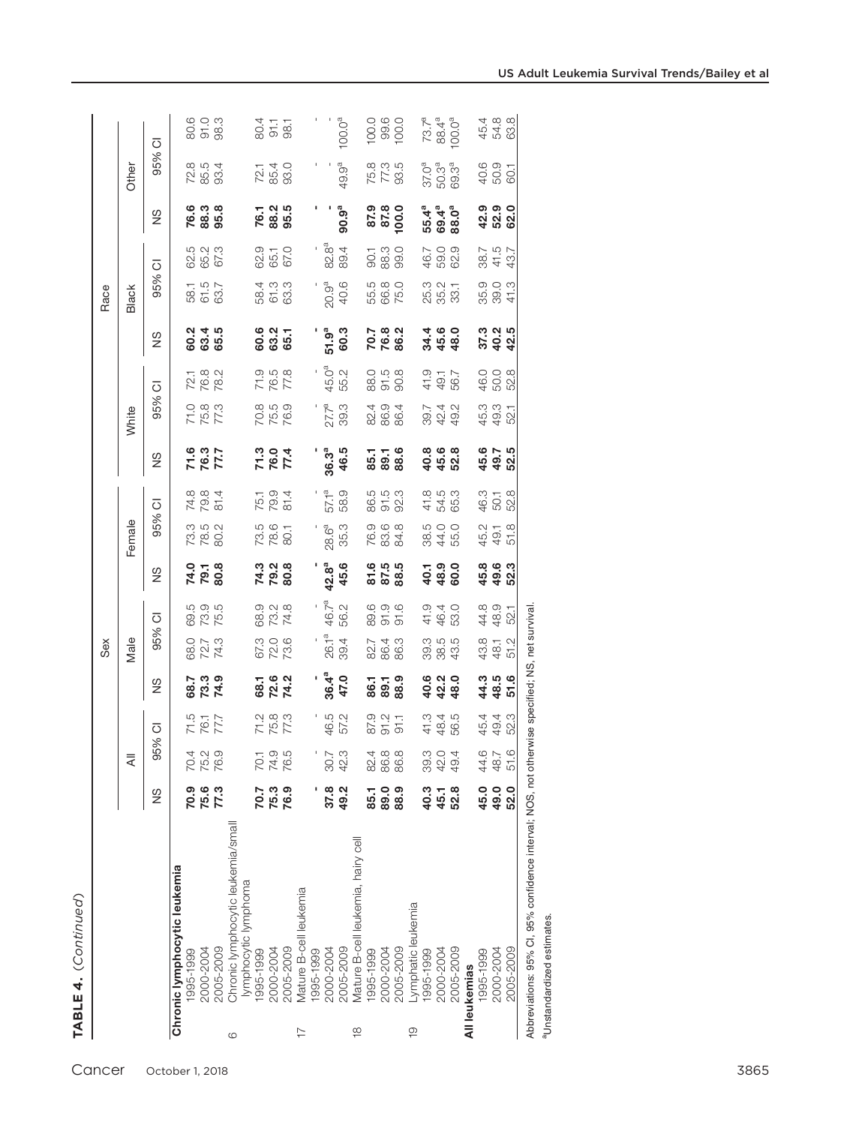| E |
|---|
|   |
|   |
| г |

| $\overline{\circ}$<br>$\%$<br>95<br>70.4<br>₹<br>70.9<br>$\frac{8}{2}$<br>Chronic lymphocytic leukemia<br>1995-1999 |                       | Sex                                     |                      |                           |                            |                   |                      |                                      |                         | Race                      |                                                         |                      |                            |                          |
|---------------------------------------------------------------------------------------------------------------------|-----------------------|-----------------------------------------|----------------------|---------------------------|----------------------------|-------------------|----------------------|--------------------------------------|-------------------------|---------------------------|---------------------------------------------------------|----------------------|----------------------------|--------------------------|
|                                                                                                                     |                       | Male                                    |                      | Female                    |                            |                   | White                |                                      |                         | Black                     |                                                         |                      | Other                      |                          |
|                                                                                                                     | $\frac{8}{2}$         | $\overline{\circ}$<br>95%               | $\frac{8}{2}$        | 95%                       | $\overline{\circ}$         | $\frac{8}{2}$     | 95%                  | $\overline{\circ}$                   | $\frac{8}{2}$           | 95%                       | $\overline{\circ}$                                      | $\frac{8}{2}$        | 95%                        | $\overline{\circ}$       |
|                                                                                                                     |                       |                                         |                      |                           |                            |                   |                      |                                      |                         |                           |                                                         |                      |                            |                          |
| 71.5<br>76.1<br>75.2<br>75.6<br>2000-2004                                                                           |                       | 68.0<br>72.7                            | 74.0<br>79.1         |                           |                            | 76.3<br>71.6      | 75.8                 | 72.1                                 | 63.4<br>60.2            | 61.5<br>58.1              |                                                         | 76.6                 |                            | 80.0<br>91.0             |
| 77.7<br>76.9<br>77.3<br>2005-2009                                                                                   | 827<br>823<br>827     | 8<br>8<br>8<br>7<br>8<br>7<br>8<br>74.3 | 80.8                 | $7800$<br>$7800$<br>$800$ | 7 0 0 1<br>7 0 1<br>7 0 1  | 77.7              | 77.3                 | 76.8<br>78.2                         | 65.5                    | 63.7                      | 62.3<br>65.3<br>67.3                                    | 88.3<br>95.8         |                            | 98.3                     |
| Chronic lymphocytic leukemia/small<br>$\circ$                                                                       |                       |                                         |                      |                           |                            |                   |                      |                                      |                         |                           |                                                         |                      |                            |                          |
| lymphocytic lymphoma                                                                                                |                       |                                         |                      |                           |                            |                   |                      |                                      |                         |                           |                                                         |                      |                            |                          |
| 70.1<br>70.7<br>1995-1999                                                                                           | 68.1                  | 68.9                                    |                      |                           |                            | 71.3              |                      |                                      | 60.6                    |                           | 62.9                                                    | 76.1                 | 72.1                       | 80.4                     |
| 71.8<br>75.8<br>77.3<br>74.9<br>2000-2004                                                                           |                       | 67.3<br>72.0<br>73.6                    | 22<br>223<br>23      | 73.5<br>78.6              | 75.1<br>79.9               | 76.0              | 70.5<br>76.9<br>76.9 | 71.9<br>76.5<br>77.8                 |                         | 5813<br>5613<br>5613      |                                                         |                      |                            |                          |
| 76.5<br>75.3<br>76.9<br>2005-2009                                                                                   | 72.6<br>74.2          | $73.2$<br>74.8                          |                      | 80.1                      | 81.4                       | 77.4              |                      |                                      | 63.2<br>65.1            |                           | 65.1<br>67.0                                            | 88.2<br>95.5         | 85.4<br>93.0               | $\frac{1}{98}$           |
| Mature B-cell leukemia<br>$\overline{1}$                                                                            |                       |                                         |                      |                           |                            |                   |                      |                                      |                         |                           |                                                         |                      |                            |                          |
| ٢<br>1995-1999                                                                                                      | ı.                    |                                         |                      |                           |                            |                   |                      |                                      |                         |                           |                                                         | т.                   |                            |                          |
| 46.5<br>30.7<br>37.8<br>2000-2004                                                                                   | $36.4^{a}$            | $46.7^a$<br>26.1 <sup>a</sup>           | $42.8^{a}$           | 28.6 <sup>a</sup>         | 57.1 <sup>a</sup>          | 36.3 <sup>a</sup> | $27.7^a$             |                                      | 51.9 <sup>a</sup>       | 20.9 <sup>a</sup>         | 82.8ª                                                   | л.                   |                            |                          |
| 57.2<br>42.3<br>49.2<br>2005-2009                                                                                   | 47.0                  | 56.2<br>39.4                            | 45.6                 | 35.3                      | 58.9                       | 46.5              | 39.3                 | 45.0 <sup>a</sup><br>55.2            | 60.3                    | 40.6                      | 89.4                                                    | 90.9 <sup>a</sup>    | 49.9 <sup>a</sup>          | 100.0 <sup>a</sup>       |
| Mature B-cell leukemia, hairy cell<br>$\frac{\infty}{\cdot}$                                                        |                       |                                         |                      |                           |                            |                   |                      |                                      |                         |                           |                                                         |                      |                            |                          |
| 82.4<br>85.1<br>1995-1999                                                                                           |                       | 89.6<br>82.7                            |                      |                           |                            | 85.1              | 82.4                 | 88.0                                 | 70.7                    |                           |                                                         |                      |                            | 100.0                    |
| 86.8<br>89.0<br>2000-2004                                                                                           |                       | 91.9<br>86.4                            |                      | 76.9<br>83.6              |                            | 89.1              | 86.9                 |                                      | 76.8                    | 55.5<br>66.8              |                                                         |                      |                            | 99.6                     |
| 97.9<br>97.1<br>97.1<br>86.8<br>88.9<br>2005-2009                                                                   | 86.1<br>89.1<br>89.8  | 91.6<br>86.3                            | 81.5<br>82.5<br>88   | 84.8                      | 5<br>86 5 8<br>8 5 8       | 88.6              | 86.4                 | 91.5<br>90.8                         | 86.2                    | 75.0                      | $\frac{1}{9}$ $\frac{3}{9}$ $\frac{3}{9}$ $\frac{3}{9}$ | 0000<br>87.8<br>0018 | $75.8$<br>$77.5$<br>$93.5$ | 100.0                    |
| Lymphatic leukemia<br>$\frac{1}{2}$                                                                                 |                       |                                         |                      |                           |                            |                   |                      |                                      |                         |                           |                                                         |                      |                            |                          |
| 41.3<br>39.3<br>40.3<br>1995-1999                                                                                   |                       | 41.9                                    | 40.1                 |                           | 41.8                       | 40.8              | 39.7                 | 41.9                                 | 34.4                    |                           |                                                         |                      | 37.0 <sup>a</sup>          | $73.7^a$                 |
| 48.4<br>42.0<br>45.1<br>2000-2004                                                                                   |                       |                                         | 48.9                 | 38.5<br>44.0              |                            | 45.6              | 42.4                 | 49.1                                 | 45.6                    | 25.3<br>35.2              |                                                         |                      |                            | 88.4 <sup>a</sup>        |
| 56.5<br>52.8<br>2005-2009                                                                                           | 4<br>4<br>4<br>4<br>4 | 46.4<br>53.0                            | 60.0                 | 55.0                      | 54.5<br>65.3               | 52.8              | 49.2                 | 56.7                                 | 48.0                    | 33.1                      | $46.09$<br>$69.09$                                      | 55.4ª<br>50.88<br>88 | 50.3ª<br>69.3ª             | 100.0 <sup>a</sup>       |
| 49.4                                                                                                                |                       |                                         |                      |                           |                            |                   |                      |                                      |                         |                           |                                                         |                      |                            |                          |
|                                                                                                                     |                       |                                         |                      |                           |                            |                   |                      |                                      |                         |                           |                                                         |                      |                            |                          |
| All leukemias                                                                                                       |                       |                                         |                      |                           |                            |                   |                      |                                      |                         |                           |                                                         |                      |                            |                          |
| 45.4<br>45.0<br>1995-1999                                                                                           |                       | 44.8<br>43.8                            |                      | 45.2                      |                            | 45.6              |                      |                                      |                         |                           |                                                         |                      |                            |                          |
| 49.4<br>52.3<br>44.67<br>48.7<br>49.0<br>2000-2004                                                                  |                       | 48.9<br>$48.1$<br>51.2                  | 45.9<br>49.3<br>52.5 | $49.1$<br>51.8            | $46.3$<br>$50.1$<br>$52.8$ | 49.7<br>52.5      | 45.3<br>49.3<br>52.1 | 0<br>0<br>0<br>0<br>0<br>0<br>0<br>0 | 37 32<br>37 32<br>37 32 | $3000$<br>$4100$<br>$410$ | $38.7$<br>41.5<br>43.7                                  | 9<br>2 3 2<br>4 5 2  | $40.9$<br>$60.3$<br>$60.7$ | $4548$<br>$638$<br>$489$ |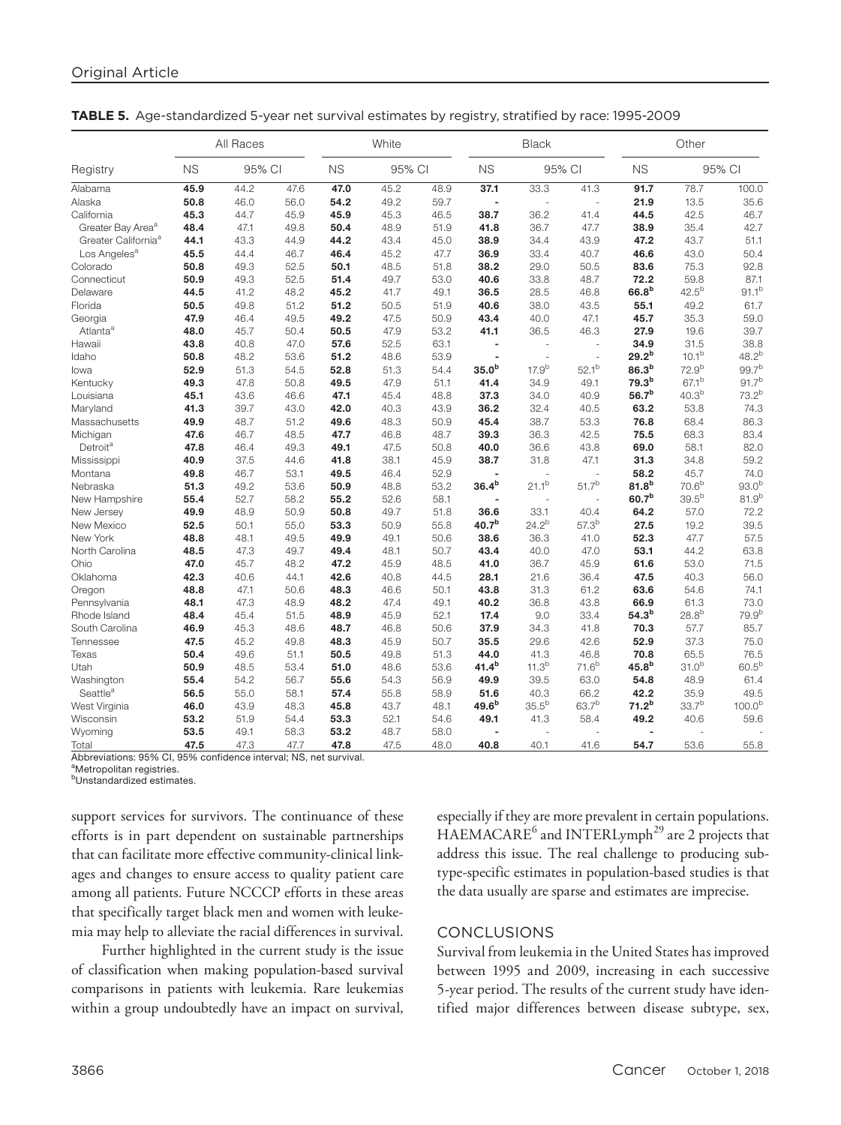|                                 |           | All Races |      |           | White  |      |                   | <b>Black</b>      |                   |                   | Other             |                    |
|---------------------------------|-----------|-----------|------|-----------|--------|------|-------------------|-------------------|-------------------|-------------------|-------------------|--------------------|
| Registry                        | <b>NS</b> | 95% CI    |      | <b>NS</b> | 95% CI |      | <b>NS</b>         |                   | 95% CI            | <b>NS</b>         |                   | 95% CI             |
| Alabama                         | 45.9      | 44.2      | 47.6 | 47.0      | 45.2   | 48.9 | 37.1              | 33.3              | 41.3              | 91.7              | 78.7              | 100.0              |
| Alaska                          | 50.8      | 46.0      | 56.0 | 54.2      | 49.2   | 59.7 |                   | i.                | J.                | 21.9              | 13.5              | 35.6               |
| California                      | 45.3      | 44.7      | 45.9 | 45.9      | 45.3   | 46.5 | 38.7              | 36.2              | 41.4              | 44.5              | 42.5              | 46.7               |
| Greater Bay Area <sup>a</sup>   | 48.4      | 47.1      | 49.8 | 50.4      | 48.9   | 51.9 | 41.8              | 36.7              | 47.7              | 38.9              | 35.4              | 42.7               |
| Greater California <sup>a</sup> | 44.1      | 43.3      | 44.9 | 44.2      | 43.4   | 45.0 | 38.9              | 34.4              | 43.9              | 47.2              | 43.7              | 51.1               |
| Los Angeles <sup>a</sup>        | 45.5      | 44.4      | 46.7 | 46.4      | 45.2   | 47.7 | 36.9              | 33.4              | 40.7              | 46.6              | 43.0              | 50.4               |
| Colorado                        | 50.8      | 49.3      | 52.5 | 50.1      | 48.5   | 51.8 | 38.2              | 29.0              | 50.5              | 83.6              | 75.3              | 92.8               |
| Connecticut                     | 50.9      | 49.3      | 52.5 | 51.4      | 49.7   | 53.0 | 40.6              | 33.8              | 48.7              | 72.2              | 59.8              | 87.1               |
| Delaware                        | 44.5      | 41.2      | 48.2 | 45.2      | 41.7   | 49.1 | 36.5              | 28.5              | 46.8              | 66.8 <sup>b</sup> | $42.5^{b}$        | $91.1^{b}$         |
| Florida                         | 50.5      | 49.8      | 51.2 | 51.2      | 50.5   | 51.9 | 40.6              | 38.0              | 43.5              | 55.1              | 49.2              | 61.7               |
| Georgia                         | 47.9      | 46.4      | 49.5 | 49.2      | 47.5   | 50.9 | 43.4              | 40.0              | 47.1              | 45.7              | 35.3              | 59.0               |
| Atlanta <sup>a</sup>            | 48.0      | 45.7      | 50.4 | 50.5      | 47.9   | 53.2 | 41.1              | 36.5              | 46.3              | 27.9              | 19.6              | 39.7               |
| Hawaii                          | 43.8      | 40.8      | 47.0 | 57.6      | 52.5   | 63.1 |                   | ÷,                | J.                | 34.9              | 31.5              | 38.8               |
| Idaho                           | 50.8      | 48.2      | 53.6 | 51.2      | 48.6   | 53.9 |                   | ÷.                | $\overline{a}$    | $29.2^{b}$        | 10.1 <sup>b</sup> | $48.2^{b}$         |
| lowa                            | 52.9      | 51.3      | 54.5 | 52.8      | 51.3   | 54.4 | 35.0 <sup>b</sup> | 17.9 <sup>b</sup> | $52.1^{b}$        | 86.3 <sup>b</sup> | $72.9^{b}$        | 99.7 <sup>b</sup>  |
| Kentucky                        | 49.3      | 47.8      | 50.8 | 49.5      | 47.9   | 51.1 | 41.4              | 34.9              | 49.1              | 79.3 <sup>b</sup> | 67.1 <sup>b</sup> | 91.7 <sup>b</sup>  |
| Louisiana                       | 45.1      | 43.6      | 46.6 | 47.1      | 45.4   | 48.8 | 37.3              | 34.0              | 40.9              | 56.7 <sup>b</sup> | 40.3 <sup>b</sup> | $73.2^{b}$         |
| Maryland                        | 41.3      | 39.7      | 43.0 | 42.0      | 40.3   | 43.9 | 36.2              | 32.4              | 40.5              | 63.2              | 53.8              | 74.3               |
| Massachusetts                   | 49.9      | 48.7      | 51.2 | 49.6      | 48.3   | 50.9 | 45.4              | 38.7              | 53.3              | 76.8              | 68.4              | 86.3               |
|                                 |           |           |      | 47.7      |        |      | 39.3              | 36.3              |                   | 75.5              | 68.3              | 83.4               |
| Michigan                        | 47.6      | 46.7      | 48.5 | 49.1      | 46.8   | 48.7 | 40.0              |                   | 42.5              |                   |                   |                    |
| Detroit <sup>a</sup>            | 47.8      | 46.4      | 49.3 |           | 47.5   | 50.8 |                   | 36.6              | 43.8              | 69.0              | 58.1              | 82.0               |
| Mississippi                     | 40.9      | 37.5      | 44.6 | 41.8      | 38.1   | 45.9 | 38.7              | 31.8              | 47.1              | 31.3              | 34.8              | 59.2               |
| Montana                         | 49.8      | 46.7      | 53.1 | 49.5      | 46.4   | 52.9 |                   |                   |                   | 58.2              | 45.7              | 74.0               |
| Nebraska                        | 51.3      | 49.2      | 53.6 | 50.9      | 48.8   | 53.2 | 36.4 <sup>b</sup> | $21.1^{b}$        | 51.7 <sup>b</sup> | 81.8 <sup>b</sup> | 70.6 <sup>b</sup> | $93.0^{b}$         |
| New Hampshire                   | 55.4      | 52.7      | 58.2 | 55.2      | 52.6   | 58.1 |                   |                   |                   | 60.7 <sup>b</sup> | $39.5^{b}$        | 81.9 <sup>b</sup>  |
| New Jersey                      | 49.9      | 48.9      | 50.9 | 50.8      | 49.7   | 51.8 | 36.6              | 33.1              | 40.4              | 64.2              | 57.0              | 72.2               |
| New Mexico                      | 52.5      | 50.1      | 55.0 | 53.3      | 50.9   | 55.8 | 40.7 <sup>b</sup> | $24.2^{b}$        | 57.3 <sup>b</sup> | 27.5              | 19.2              | 39.5               |
| New York                        | 48.8      | 48.1      | 49.5 | 49.9      | 49.1   | 50.6 | 38.6              | 36.3              | 41.0              | 52.3              | 47.7              | 57.5               |
| North Carolina                  | 48.5      | 47.3      | 49.7 | 49.4      | 48.1   | 50.7 | 43.4              | 40.0              | 47.0              | 53.1              | 44.2              | 63.8               |
| Ohio                            | 47.0      | 45.7      | 48.2 | 47.2      | 45.9   | 48.5 | 41.0              | 36.7              | 45.9              | 61.6              | 53.0              | 71.5               |
| Oklahoma                        | 42.3      | 40.6      | 44.1 | 42.6      | 40.8   | 44.5 | 28.1              | 21.6              | 36.4              | 47.5              | 40.3              | 56.0               |
| Oregon                          | 48.8      | 47.1      | 50.6 | 48.3      | 46.6   | 50.1 | 43.8              | 31.3              | 61.2              | 63.6              | 54.6              | 74.1               |
| Pennsylvania                    | 48.1      | 47.3      | 48.9 | 48.2      | 47.4   | 49.1 | 40.2              | 36.8              | 43.8              | 66.9              | 61.3              | 73.0               |
| Rhode Island                    | 48.4      | 45.4      | 51.5 | 48.9      | 45.9   | 52.1 | 17.4              | 9.0               | 33.4              | 54.3 <sup>b</sup> | $28.8^{b}$        | 79.9 <sup>b</sup>  |
| South Carolina                  | 46.9      | 45.3      | 48.6 | 48.7      | 46.8   | 50.6 | 37.9              | 34.3              | 41.8              | 70.3              | 57.7              | 85.7               |
| Tennessee                       | 47.5      | 45.2      | 49.8 | 48.3      | 45.9   | 50.7 | 35.5              | 29.6              | 42.6              | 52.9              | 37.3              | 75.0               |
| Texas                           | 50.4      | 49.6      | 51.1 | 50.5      | 49.8   | 51.3 | 44.0              | 41.3              | 46.8              | 70.8              | 65.5              | 76.5               |
| Utah                            | 50.9      | 48.5      | 53.4 | 51.0      | 48.6   | 53.6 | $41.4^{b}$        | 11.3 <sup>b</sup> | $71.6^{b}$        | 45.8 <sup>b</sup> | 31.0 <sup>b</sup> | $60.5^{b}$         |
| Washington                      | 55.4      | 54.2      | 56.7 | 55.6      | 54.3   | 56.9 | 49.9              | 39.5              | 63.0              | 54.8              | 48.9              | 61.4               |
| Seattle <sup>a</sup>            | 56.5      | 55.0      | 58.1 | 57.4      | 55.8   | 58.9 | 51.6              | 40.3              | 66.2              | 42.2              | 35.9              | 49.5               |
| West Virginia                   | 46.0      | 43.9      | 48.3 | 45.8      | 43.7   | 48.1 | 49.6 <sup>b</sup> | $35.5^{b}$        | $63.7^{b}$        | $71.2^{b}$        | 33.7 <sup>b</sup> | 100.0 <sup>b</sup> |
| Wisconsin                       | 53.2      | 51.9      | 54.4 | 53.3      | 52.1   | 54.6 | 49.1              | 41.3              | 58.4              | 49.2              | 40.6              | 59.6               |
| Wyoming                         | 53.5      | 49.1      | 58.3 | 53.2      | 48.7   | 58.0 |                   |                   |                   |                   |                   |                    |
| Total                           | 47.5      | 47.3      | 47.7 | 47.8      | 47.5   | 48.0 | 40.8              | 40.1              | 41.6              | 54.7              | 53.6              | 55.8               |

|  | TABLE 5. Age-standardized 5-year net survival estimates by registry, stratified by race: 1995-2009 |
|--|----------------------------------------------------------------------------------------------------|
|--|----------------------------------------------------------------------------------------------------|

Abbreviations: 95% CI, 95% confidence interval; NS, net survival.

<sup>a</sup>Metropolitan registries.

b Unstandardized estimates.

support services for survivors. The continuance of these efforts is in part dependent on sustainable partnerships that can facilitate more effective community-clinical linkages and changes to ensure access to quality patient care among all patients. Future NCCCP efforts in these areas that specifically target black men and women with leukemia may help to alleviate the racial differences in survival.

Further highlighted in the current study is the issue of classification when making population-based survival comparisons in patients with leukemia. Rare leukemias within a group undoubtedly have an impact on survival,

especially if they are more prevalent in certain populations. HAEMACARE<sup>6</sup> and INTERLymph<sup>29</sup> are 2 projects that address this issue. The real challenge to producing subtype-specific estimates in population-based studies is that the data usually are sparse and estimates are imprecise.

# CONCLUSIONS

Survival from leukemia in the United States has improved between 1995 and 2009, increasing in each successive 5-year period. The results of the current study have identified major differences between disease subtype, sex,